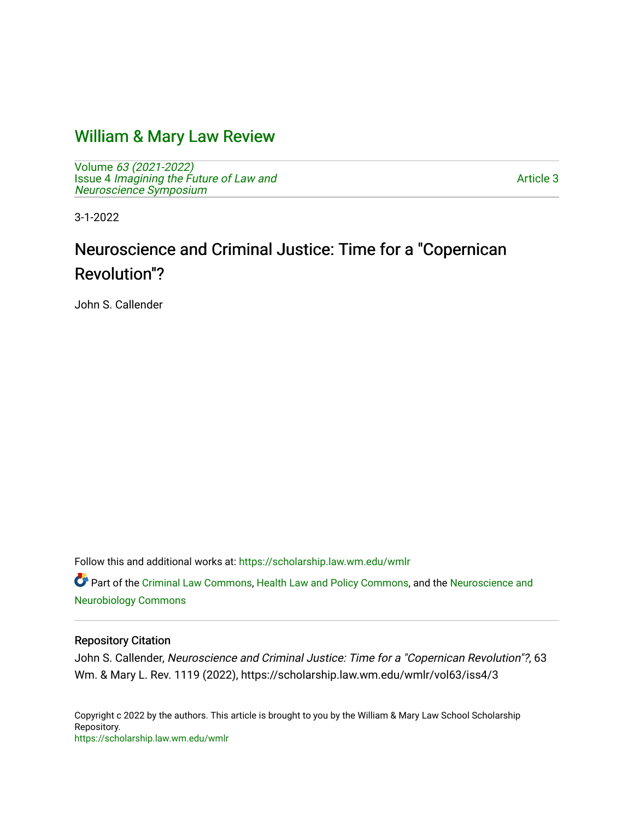## [William & Mary Law Review](https://scholarship.law.wm.edu/wmlr)

Volume [63 \(2021-2022\)](https://scholarship.law.wm.edu/wmlr/vol63)  Issue 4 [Imagining the Future of Law and](https://scholarship.law.wm.edu/wmlr/vol63/iss4)  [Neuroscience Symposium](https://scholarship.law.wm.edu/wmlr/vol63/iss4) 

[Article 3](https://scholarship.law.wm.edu/wmlr/vol63/iss4/3) 

3-1-2022

# Neuroscience and Criminal Justice: Time for a "Copernican Revolution"?

John S. Callender

Follow this and additional works at: [https://scholarship.law.wm.edu/wmlr](https://scholarship.law.wm.edu/wmlr?utm_source=scholarship.law.wm.edu%2Fwmlr%2Fvol63%2Fiss4%2F3&utm_medium=PDF&utm_campaign=PDFCoverPages)

Part of the [Criminal Law Commons,](https://network.bepress.com/hgg/discipline/912?utm_source=scholarship.law.wm.edu%2Fwmlr%2Fvol63%2Fiss4%2F3&utm_medium=PDF&utm_campaign=PDFCoverPages) [Health Law and Policy Commons,](https://network.bepress.com/hgg/discipline/901?utm_source=scholarship.law.wm.edu%2Fwmlr%2Fvol63%2Fiss4%2F3&utm_medium=PDF&utm_campaign=PDFCoverPages) and the Neuroscience and [Neurobiology Commons](https://network.bepress.com/hgg/discipline/55?utm_source=scholarship.law.wm.edu%2Fwmlr%2Fvol63%2Fiss4%2F3&utm_medium=PDF&utm_campaign=PDFCoverPages) 

#### Repository Citation

John S. Callender, Neuroscience and Criminal Justice: Time for a "Copernican Revolution"?, 63 Wm. & Mary L. Rev. 1119 (2022), https://scholarship.law.wm.edu/wmlr/vol63/iss4/3

Copyright c 2022 by the authors. This article is brought to you by the William & Mary Law School Scholarship Repository. <https://scholarship.law.wm.edu/wmlr>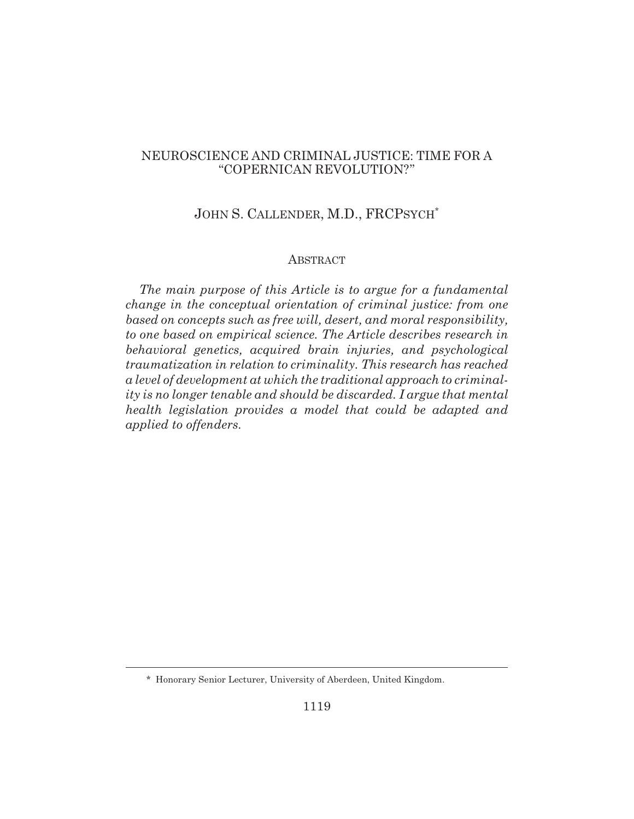#### NEUROSCIENCE AND CRIMINAL JUSTICE: TIME FOR A "COPERNICAN REVOLUTION?"

#### JOHN S. CALLENDER, M.D., FRCPSYCH\*

#### ABSTRACT

*The main purpose of this Article is to argue for a fundamental change in the conceptual orientation of criminal justice: from one based on concepts such as free will, desert, and moral responsibility, to one based on empirical science. The Article describes research in behavioral genetics, acquired brain injuries, and psychological traumatization in relation to criminality. This research has reached a level of development at which the traditional approach to criminality is no longer tenable and should be discarded. I argue that mental health legislation provides a model that could be adapted and applied to offenders.*

<sup>\*</sup> Honorary Senior Lecturer, University of Aberdeen, United Kingdom.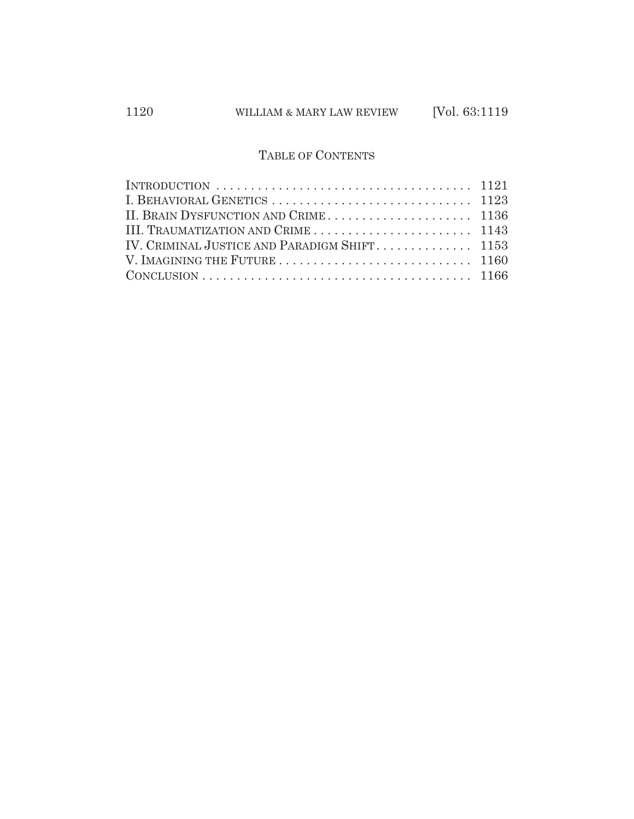### TABLE OF CONTENTS

| INTRODUCTION $\ldots \ldots \ldots \ldots \ldots \ldots \ldots \ldots \ldots \ldots \ldots 1121$ |  |
|--------------------------------------------------------------------------------------------------|--|
|                                                                                                  |  |
|                                                                                                  |  |
|                                                                                                  |  |
| IV. CRIMINAL JUSTICE AND PARADIGM SHIFT 1153                                                     |  |
|                                                                                                  |  |
|                                                                                                  |  |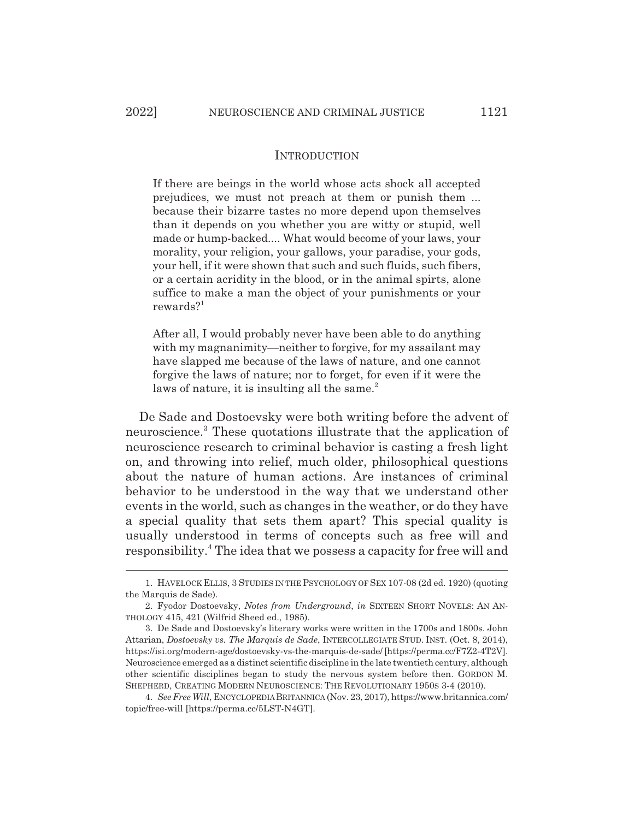#### INTRODUCTION

If there are beings in the world whose acts shock all accepted prejudices, we must not preach at them or punish them ... because their bizarre tastes no more depend upon themselves than it depends on you whether you are witty or stupid, well made or hump-backed.... What would become of your laws, your morality, your religion, your gallows, your paradise, your gods, your hell, if it were shown that such and such fluids, such fibers, or a certain acridity in the blood, or in the animal spirts, alone suffice to make a man the object of your punishments or your rewards?<sup>1</sup>

After all, I would probably never have been able to do anything with my magnanimity—neither to forgive, for my assailant may have slapped me because of the laws of nature, and one cannot forgive the laws of nature; nor to forget, for even if it were the laws of nature, it is insulting all the same.<sup>2</sup>

De Sade and Dostoevsky were both writing before the advent of neuroscience.<sup>3</sup> These quotations illustrate that the application of neuroscience research to criminal behavior is casting a fresh light on, and throwing into relief, much older, philosophical questions about the nature of human actions. Are instances of criminal behavior to be understood in the way that we understand other events in the world, such as changes in the weather, or do they have a special quality that sets them apart? This special quality is usually understood in terms of concepts such as free will and responsibility.<sup>4</sup> The idea that we possess a capacity for free will and

<sup>1.</sup> HAVELOCK ELLIS, 3 STUDIES IN THE PSYCHOLOGY OF SEX 107-08 (2d ed. 1920) (quoting the Marquis de Sade).

<sup>2.</sup> Fyodor Dostoevsky, *Notes from Underground*, *in* SIXTEEN SHORT NOVELS: AN AN-THOLOGY 415, 421 (Wilfrid Sheed ed., 1985).

<sup>3.</sup> De Sade and Dostoevsky's literary works were written in the 1700s and 1800s. John Attarian, *Dostoevsky vs. The Marquis de Sade*, INTERCOLLEGIATE STUD. INST. (Oct. 8, 2014), https://isi.org/modern-age/dostoevsky-vs-the-marquis-de-sade/ [https://perma.cc/F7Z2-4T2V]. Neuroscience emerged as a distinct scientific discipline in the late twentieth century, although other scientific disciplines began to study the nervous system before then. GORDON M. SHEPHERD, CREATING MODERN NEUROSCIENCE: THE REVOLUTIONARY 1950S 3-4 (2010).

<sup>4.</sup> *See Free Will*, ENCYCLOPEDIA BRITANNICA (Nov. 23, 2017), https://www.britannica.com/ topic/free-will [https://perma.cc/5LST-N4GT].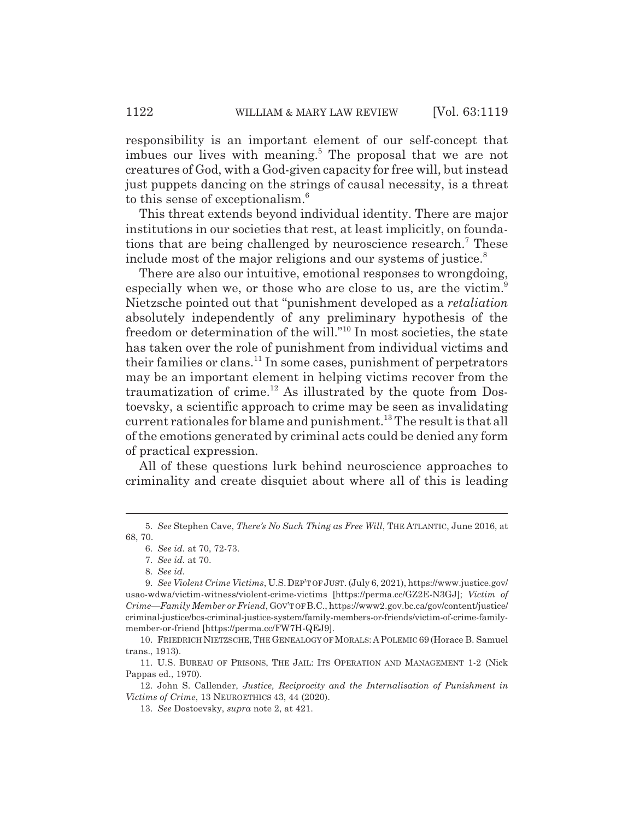responsibility is an important element of our self-concept that imbues our lives with meaning.<sup>5</sup> The proposal that we are not creatures of God, with a God-given capacity for free will, but instead just puppets dancing on the strings of causal necessity, is a threat to this sense of exceptionalism.<sup>6</sup>

This threat extends beyond individual identity. There are major institutions in our societies that rest, at least implicitly, on foundations that are being challenged by neuroscience research.<sup>7</sup> These include most of the major religions and our systems of justice.<sup>8</sup>

There are also our intuitive, emotional responses to wrongdoing, especially when we, or those who are close to us, are the victim.<sup>9</sup> Nietzsche pointed out that "punishment developed as a *retaliation* absolutely independently of any preliminary hypothesis of the freedom or determination of the will."10 In most societies, the state has taken over the role of punishment from individual victims and their families or clans.<sup>11</sup> In some cases, punishment of perpetrators may be an important element in helping victims recover from the traumatization of crime.<sup>12</sup> As illustrated by the quote from Dostoevsky, a scientific approach to crime may be seen as invalidating current rationales for blame and punishment.<sup>13</sup> The result is that all of the emotions generated by criminal acts could be denied any form of practical expression.

All of these questions lurk behind neuroscience approaches to criminality and create disquiet about where all of this is leading

<sup>5.</sup> *See* Stephen Cave, *There's No Such Thing as Free Will*, THE ATLANTIC, June 2016, at 68, 70.

<sup>6.</sup> *See id.* at 70, 72-73.

<sup>7.</sup> *See id.* at 70.

<sup>8.</sup> *See id.*

<sup>9.</sup> *See Violent Crime Victims*, U.S.DEP'T OF JUST. (July 6, 2021), https://www.justice.gov/ usao-wdwa/victim-witness/violent-crime-victims [https://perma.cc/GZ2E-N3GJ]; *Victim of Crime—Family Member or Friend*, GOV'T OF B.C., https://www2.gov.bc.ca/gov/content/justice/ criminal-justice/bcs-criminal-justice-system/family-members-or-friends/victim-of-crime-familymember-or-friend [https://perma.cc/FW7H-QEJ9].

<sup>10.</sup> FRIEDRICH NIETZSCHE, THE GENEALOGY OF MORALS:APOLEMIC 69 (Horace B. Samuel trans., 1913).

<sup>11.</sup> U.S. BUREAU OF PRISONS, THE JAIL: ITS OPERATION AND MANAGEMENT 1-2 (Nick Pappas ed., 1970).

<sup>12.</sup> John S. Callender, *Justice, Reciprocity and the Internalisation of Punishment in Victims of Crime*, 13 NEUROETHICS 43, 44 (2020).

<sup>13.</sup> *See* Dostoevsky, *supra* note 2, at 421.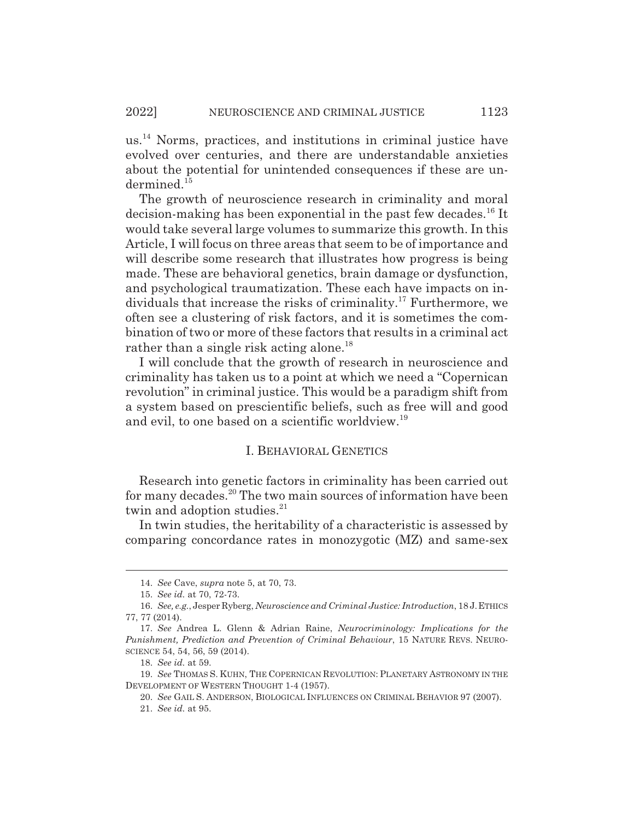us.14 Norms, practices, and institutions in criminal justice have evolved over centuries, and there are understandable anxieties about the potential for unintended consequences if these are undermined<sup>15</sup>

The growth of neuroscience research in criminality and moral decision-making has been exponential in the past few decades.16 It would take several large volumes to summarize this growth. In this Article, I will focus on three areas that seem to be of importance and will describe some research that illustrates how progress is being made. These are behavioral genetics, brain damage or dysfunction, and psychological traumatization. These each have impacts on individuals that increase the risks of criminality.<sup>17</sup> Furthermore, we often see a clustering of risk factors, and it is sometimes the combination of two or more of these factors that results in a criminal act rather than a single risk acting alone.<sup>18</sup>

I will conclude that the growth of research in neuroscience and criminality has taken us to a point at which we need a "Copernican revolution" in criminal justice. This would be a paradigm shift from a system based on prescientific beliefs, such as free will and good and evil, to one based on a scientific worldview.19

#### I. BEHAVIORAL GENETICS

Research into genetic factors in criminality has been carried out for many decades.20 The two main sources of information have been twin and adoption studies.<sup>21</sup>

In twin studies, the heritability of a characteristic is assessed by comparing concordance rates in monozygotic (MZ) and same-sex

<sup>14.</sup> *See* Cave, *supra* note 5, at 70, 73.

<sup>15.</sup> *See id.* at 70, 72-73.

<sup>16.</sup> *See, e.g.*, Jesper Ryberg, *Neuroscience and Criminal Justice: Introduction*, 18 J.ETHICS 77, 77 (2014).

<sup>17.</sup> *See* Andrea L. Glenn & Adrian Raine, *Neurocriminology: Implications for the Punishment, Prediction and Prevention of Criminal Behaviour*, 15 NATURE REVS. NEURO-SCIENCE 54, 54, 56, 59 (2014).

<sup>18.</sup> *See id.* at 59.

<sup>19.</sup> *See* THOMAS S. KUHN, THE COPERNICAN REVOLUTION: PLANETARY ASTRONOMY IN THE DEVELOPMENT OF WESTERN THOUGHT 1-4 (1957).

<sup>20.</sup> *See* GAIL S. ANDERSON, BIOLOGICAL INFLUENCES ON CRIMINAL BEHAVIOR 97 (2007).

<sup>21.</sup> *See id.* at 95.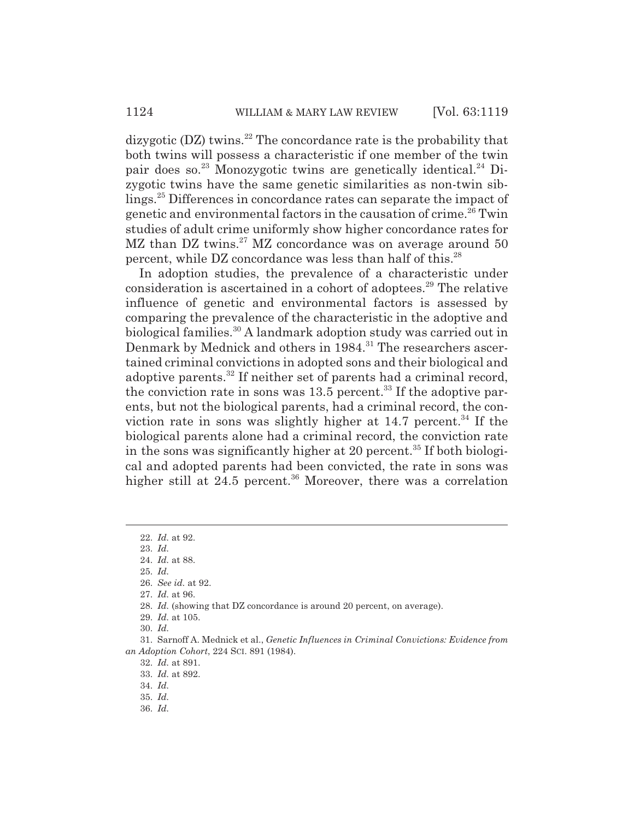dizygotic  $(DZ)$  twins.<sup>22</sup> The concordance rate is the probability that both twins will possess a characteristic if one member of the twin pair does so.<sup>23</sup> Monozygotic twins are genetically identical.<sup>24</sup> Dizygotic twins have the same genetic similarities as non-twin siblings.25 Differences in concordance rates can separate the impact of genetic and environmental factors in the causation of crime.<sup>26</sup> Twin studies of adult crime uniformly show higher concordance rates for MZ than DZ twins.<sup>27</sup> MZ concordance was on average around 50 percent, while DZ concordance was less than half of this.<sup>28</sup>

In adoption studies, the prevalence of a characteristic under consideration is ascertained in a cohort of adoptees.<sup>29</sup> The relative influence of genetic and environmental factors is assessed by comparing the prevalence of the characteristic in the adoptive and biological families.<sup>30</sup> A landmark adoption study was carried out in Denmark by Mednick and others in 1984.<sup>31</sup> The researchers ascertained criminal convictions in adopted sons and their biological and adoptive parents.32 If neither set of parents had a criminal record, the conviction rate in sons was  $13.5$  percent.<sup>33</sup> If the adoptive parents, but not the biological parents, had a criminal record, the conviction rate in sons was slightly higher at  $14.7$  percent.<sup>34</sup> If the biological parents alone had a criminal record, the conviction rate in the sons was significantly higher at 20 percent.<sup>35</sup> If both biological and adopted parents had been convicted, the rate in sons was higher still at  $24.5$  percent.<sup>36</sup> Moreover, there was a correlation

25. *Id.*

30. *Id.*

32. *Id.* at 891.

36. *Id.*

<sup>22.</sup> *Id.* at 92.

<sup>23.</sup> *Id.* 24. *Id.* at 88.

<sup>26.</sup> *See id.* at 92.

<sup>27.</sup> *Id.* at 96.

<sup>28.</sup> *Id.* (showing that DZ concordance is around 20 percent, on average).

<sup>29.</sup> *Id.* at 105.

<sup>31.</sup> Sarnoff A. Mednick et al., *Genetic Influences in Criminal Convictions: Evidence from an Adoption Cohort*, 224 SCI. 891 (1984).

<sup>33.</sup> *Id.* at 892.

<sup>34.</sup> *Id.*

<sup>35.</sup> *Id.*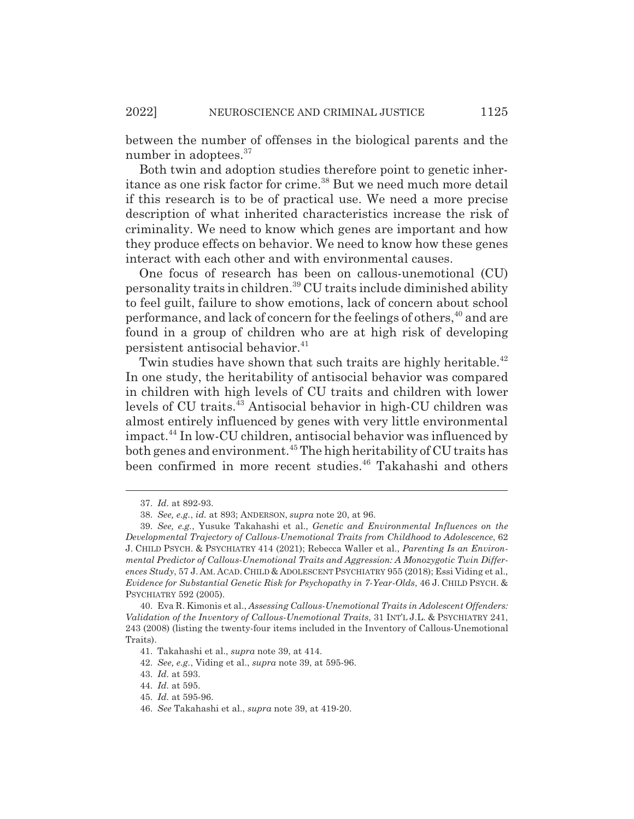between the number of offenses in the biological parents and the number in adoptees.<sup>37</sup>

Both twin and adoption studies therefore point to genetic inheritance as one risk factor for crime.<sup>38</sup> But we need much more detail if this research is to be of practical use. We need a more precise description of what inherited characteristics increase the risk of criminality. We need to know which genes are important and how they produce effects on behavior. We need to know how these genes interact with each other and with environmental causes.

One focus of research has been on callous-unemotional (CU) personality traits in children.39 CU traits include diminished ability to feel guilt, failure to show emotions, lack of concern about school performance, and lack of concern for the feelings of others,<sup>40</sup> and are found in a group of children who are at high risk of developing persistent antisocial behavior.<sup>41</sup>

Twin studies have shown that such traits are highly heritable.<sup>42</sup> In one study, the heritability of antisocial behavior was compared in children with high levels of CU traits and children with lower levels of CU traits.43 Antisocial behavior in high-CU children was almost entirely influenced by genes with very little environmental impact.44 In low-CU children, antisocial behavior was influenced by both genes and environment.<sup>45</sup> The high heritability of CU traits has been confirmed in more recent studies.<sup>46</sup> Takahashi and others

<sup>37.</sup> *Id.* at 892-93.

<sup>38.</sup> *See, e.g.*, *id.* at 893; ANDERSON, *supra* note 20, at 96.

<sup>39.</sup> *See, e.g.*, Yusuke Takahashi et al., *Genetic and Environmental Influences on the Developmental Trajectory of Callous-Unemotional Traits from Childhood to Adolescence*, 62 J. CHILD PSYCH.&PSYCHIATRY 414 (2021); Rebecca Waller et al., *Parenting Is an Environmental Predictor of Callous-Unemotional Traits and Aggression: A Monozygotic Twin Differences Study*, 57 J. AM. ACAD. CHILD & ADOLESCENT PSYCHIATRY 955 (2018); Essi Viding et al., *Evidence for Substantial Genetic Risk for Psychopathy in 7-Year-Olds*, 46 J. CHILD PSYCH. & PSYCHIATRY 592 (2005).

<sup>40.</sup> Eva R. Kimonis et al., *Assessing Callous-Unemotional Traits in Adolescent Offenders: Validation of the Inventory of Callous-Unemotional Traits*, 31 INT'L J.L. & PSYCHIATRY 241, 243 (2008) (listing the twenty-four items included in the Inventory of Callous-Unemotional Traits).

<sup>41.</sup> Takahashi et al., *supra* note 39, at 414.

<sup>42.</sup> *See, e.g.*, Viding et al., *supra* note 39, at 595-96.

<sup>43.</sup> *Id.* at 593.

<sup>44.</sup> *Id.* at 595.

<sup>45.</sup> *Id.* at 595-96.

<sup>46.</sup> *See* Takahashi et al., *supra* note 39, at 419-20.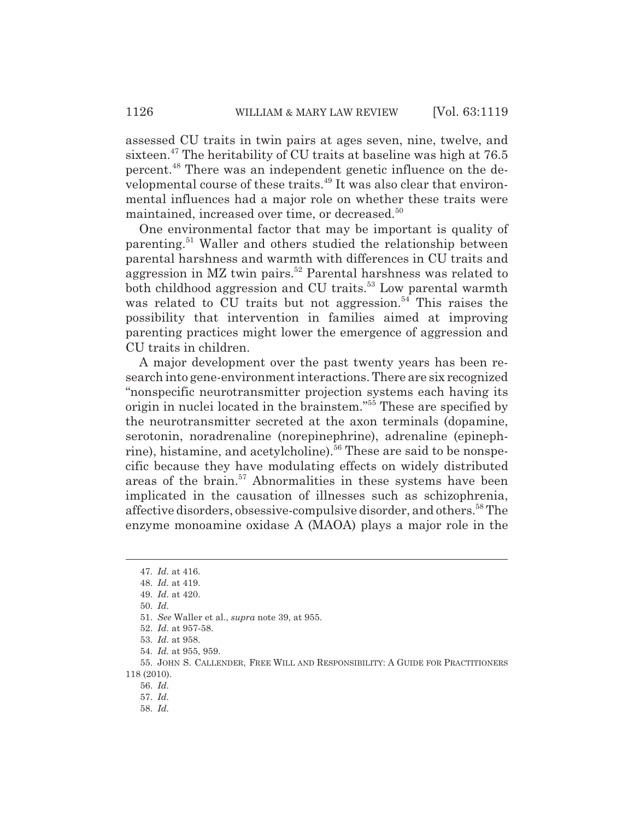assessed CU traits in twin pairs at ages seven, nine, twelve, and sixteen.47 The heritability of CU traits at baseline was high at 76.5 percent.48 There was an independent genetic influence on the developmental course of these traits.<sup>49</sup> It was also clear that environmental influences had a major role on whether these traits were maintained, increased over time, or decreased.<sup>50</sup>

One environmental factor that may be important is quality of parenting.51 Waller and others studied the relationship between parental harshness and warmth with differences in CU traits and aggression in MZ twin pairs.<sup>52</sup> Parental harshness was related to both childhood aggression and CU traits.<sup>53</sup> Low parental warmth was related to  $CU$  traits but not aggression.<sup>54</sup> This raises the possibility that intervention in families aimed at improving parenting practices might lower the emergence of aggression and CU traits in children.

A major development over the past twenty years has been research into gene-environment interactions. There are six recognized "nonspecific neurotransmitter projection systems each having its origin in nuclei located in the brainstem."<sup>55</sup> These are specified by the neurotransmitter secreted at the axon terminals (dopamine, serotonin, noradrenaline (norepinephrine), adrenaline (epinephrine), histamine, and acetylcholine).<sup>56</sup> These are said to be nonspecific because they have modulating effects on widely distributed areas of the brain.<sup>57</sup> Abnormalities in these systems have been implicated in the causation of illnesses such as schizophrenia, affective disorders, obsessive-compulsive disorder, and others.<sup>58</sup> The enzyme monoamine oxidase A (MAOA) plays a major role in the

58. *Id.*

<sup>47.</sup> *Id.* at 416.

<sup>48.</sup> *Id.* at 419.

<sup>49.</sup> *Id.* at 420.

<sup>50.</sup> *Id.*

<sup>51.</sup> *See* Waller et al., *supra* note 39, at 955.

<sup>52.</sup> *Id.* at 957-58.

<sup>53.</sup> *Id.* at 958.

<sup>54.</sup> *Id.* at 955, 959.

<sup>55.</sup> JOHN S. CALLENDER, FREE WILL AND RESPONSIBILITY: A GUIDE FOR PRACTITIONERS 118 (2010).

<sup>56.</sup> *Id.*

<sup>57.</sup> *Id.*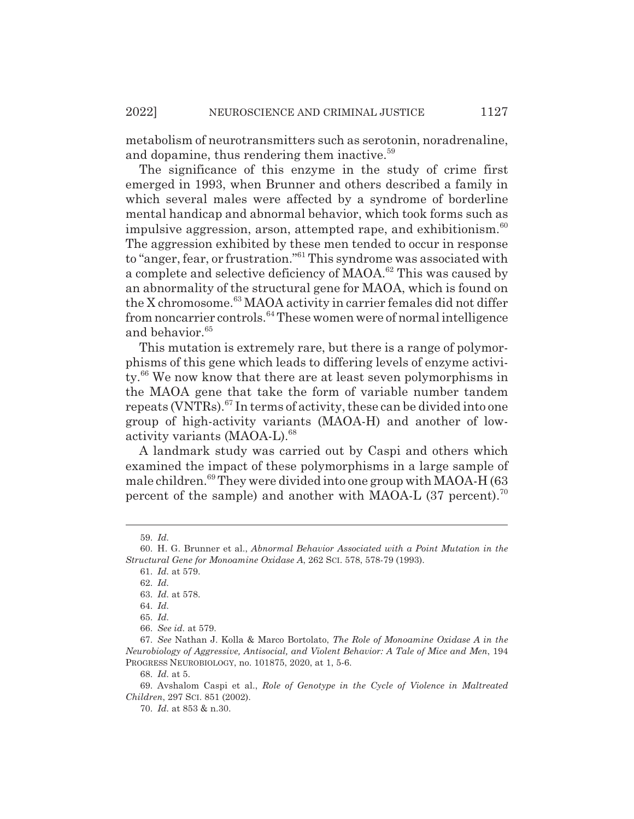metabolism of neurotransmitters such as serotonin, noradrenaline, and dopamine, thus rendering them inactive.<sup>59</sup>

The significance of this enzyme in the study of crime first emerged in 1993, when Brunner and others described a family in which several males were affected by a syndrome of borderline mental handicap and abnormal behavior, which took forms such as impulsive aggression, arson, attempted rape, and exhibitionism. $60$ The aggression exhibited by these men tended to occur in response to "anger, fear, or frustration."61 This syndrome was associated with a complete and selective deficiency of MAOA.62 This was caused by an abnormality of the structural gene for MAOA, which is found on the X chromosome.<sup>63</sup> MAOA activity in carrier females did not differ from noncarrier controls.64 These women were of normal intelligence and behavior.<sup>65</sup>

This mutation is extremely rare, but there is a range of polymorphisms of this gene which leads to differing levels of enzyme activity.66 We now know that there are at least seven polymorphisms in the MAOA gene that take the form of variable number tandem repeats (VNTRs).67 In terms of activity, these can be divided into one group of high-activity variants (MAOA-H) and another of lowactivity variants (MAOA-L).<sup>68</sup>

A landmark study was carried out by Caspi and others which examined the impact of these polymorphisms in a large sample of male children.<sup>69</sup> They were divided into one group with MAOA-H (63) percent of the sample) and another with MAOA-L  $(37 \text{ percent})$ .<sup>70</sup>

<sup>59.</sup> *Id.*

<sup>60.</sup> H. G. Brunner et al., *Abnormal Behavior Associated with a Point Mutation in the Structural Gene for Monoamine Oxidase A*, 262 SCI. 578, 578-79 (1993).

<sup>61.</sup> *Id.* at 579.

<sup>62.</sup> *Id.*

<sup>63.</sup> *Id.* at 578.

<sup>64.</sup> *Id.*

<sup>65.</sup> *Id.*

<sup>66.</sup> *See id.* at 579.

<sup>67.</sup> *See* Nathan J. Kolla & Marco Bortolato, *The Role of Monoamine Oxidase A in the Neurobiology of Aggressive, Antisocial, and Violent Behavior: A Tale of Mice and Men*, 194 PROGRESS NEUROBIOLOGY, no. 101875, 2020, at 1, 5-6.

<sup>68.</sup> *Id.* at 5.

<sup>69.</sup> Avshalom Caspi et al., *Role of Genotype in the Cycle of Violence in Maltreated Children*, 297 SCI. 851 (2002).

<sup>70.</sup> *Id.* at 853 & n.30.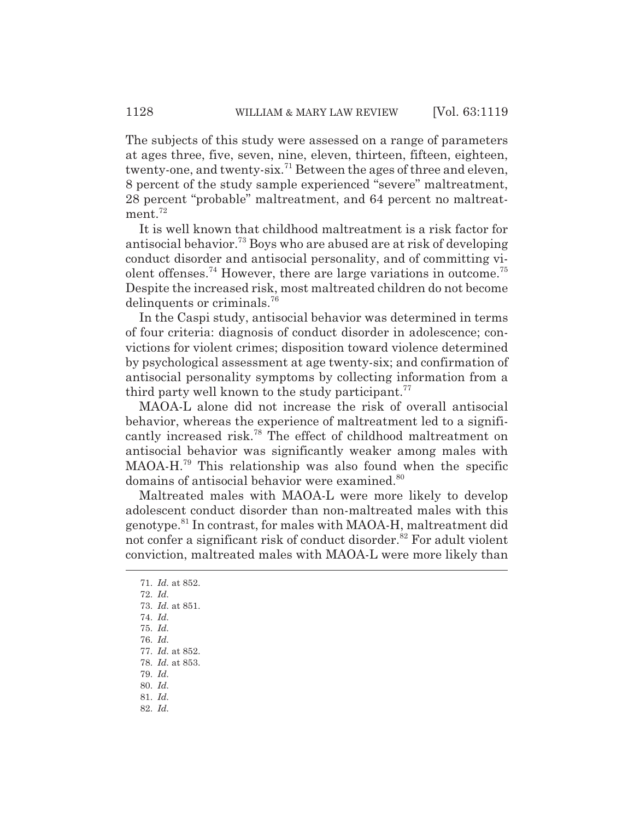The subjects of this study were assessed on a range of parameters at ages three, five, seven, nine, eleven, thirteen, fifteen, eighteen, twenty-one, and twenty-six.<sup>71</sup> Between the ages of three and eleven, 8 percent of the study sample experienced "severe" maltreatment, 28 percent "probable" maltreatment, and 64 percent no maltreatment. $72$ 

It is well known that childhood maltreatment is a risk factor for antisocial behavior.73 Boys who are abused are at risk of developing conduct disorder and antisocial personality, and of committing violent offenses.<sup>74</sup> However, there are large variations in outcome.<sup>75</sup> Despite the increased risk, most maltreated children do not become delinquents or criminals.<sup>76</sup>

In the Caspi study, antisocial behavior was determined in terms of four criteria: diagnosis of conduct disorder in adolescence; convictions for violent crimes; disposition toward violence determined by psychological assessment at age twenty-six; and confirmation of antisocial personality symptoms by collecting information from a third party well known to the study participant.<sup>77</sup>

MAOA-L alone did not increase the risk of overall antisocial behavior, whereas the experience of maltreatment led to a significantly increased risk.78 The effect of childhood maltreatment on antisocial behavior was significantly weaker among males with MAOA-H.79 This relationship was also found when the specific domains of antisocial behavior were examined.<sup>80</sup>

Maltreated males with MAOA-L were more likely to develop adolescent conduct disorder than non-maltreated males with this genotype.81 In contrast, for males with MAOA-H, maltreatment did not confer a significant risk of conduct disorder.<sup>82</sup> For adult violent conviction, maltreated males with MAOA-L were more likely than

- 79. *Id.*
- 80. *Id.*
- 81. *Id.*

<sup>71.</sup> *Id.* at 852.

<sup>72.</sup> *Id.*

<sup>73.</sup> *Id.* at 851.

<sup>74.</sup> *Id.*

<sup>75.</sup> *Id.*

<sup>76.</sup> *Id.*

<sup>77.</sup> *Id.* at 852.

<sup>78.</sup> *Id.* at 853.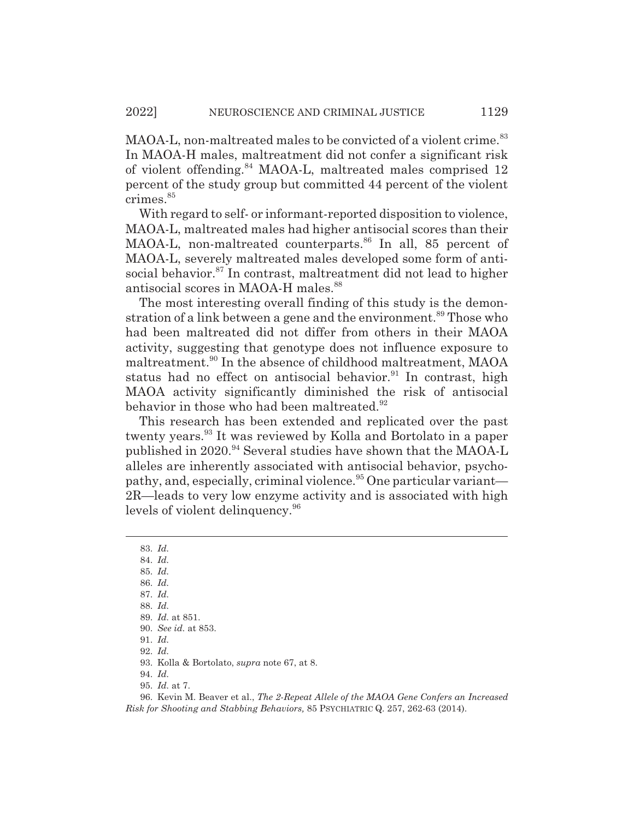MAOA-L, non-maltreated males to be convicted of a violent crime.<sup>83</sup> In MAOA-H males, maltreatment did not confer a significant risk of violent offending.84 MAOA-L, maltreated males comprised 12 percent of the study group but committed 44 percent of the violent crimes.<sup>85</sup>

With regard to self- or informant-reported disposition to violence, MAOA-L, maltreated males had higher antisocial scores than their MAOA-L, non-maltreated counterparts.<sup>86</sup> In all, 85 percent of MAOA-L, severely maltreated males developed some form of antisocial behavior.<sup>87</sup> In contrast, maltreatment did not lead to higher antisocial scores in MAOA-H males.<sup>88</sup>

The most interesting overall finding of this study is the demonstration of a link between a gene and the environment.<sup>89</sup> Those who had been maltreated did not differ from others in their MAOA activity, suggesting that genotype does not influence exposure to maltreatment.<sup>90</sup> In the absence of childhood maltreatment, MAOA status had no effect on antisocial behavior.<sup>91</sup> In contrast, high MAOA activity significantly diminished the risk of antisocial behavior in those who had been maltreated.<sup>92</sup>

This research has been extended and replicated over the past twenty years.93 It was reviewed by Kolla and Bortolato in a paper published in 2020.<sup>94</sup> Several studies have shown that the MAOA-L alleles are inherently associated with antisocial behavior, psychopathy, and, especially, criminal violence.<sup>95</sup> One particular variant— 2R—leads to very low enzyme activity and is associated with high levels of violent delinquency.<sup>96</sup>

- 84. *Id.* 85. *Id.*
- 86. *Id.*
- 87. *Id.*
- 88. *Id.*
- 89. *Id.* at 851.
- 90. *See id.* at 853.
- 91. *Id.*
- 
- 92. *Id.*
- 93. Kolla & Bortolato, *supra* note 67, at 8.
- 94. *Id.*
- 95. *Id.* at 7.

96. Kevin M. Beaver et al., *The 2-Repeat Allele of the MAOA Gene Confers an Increased Risk for Shooting and Stabbing Behaviors,* 85 PSYCHIATRIC Q. 257, 262-63 (2014).

<sup>83.</sup> *Id.*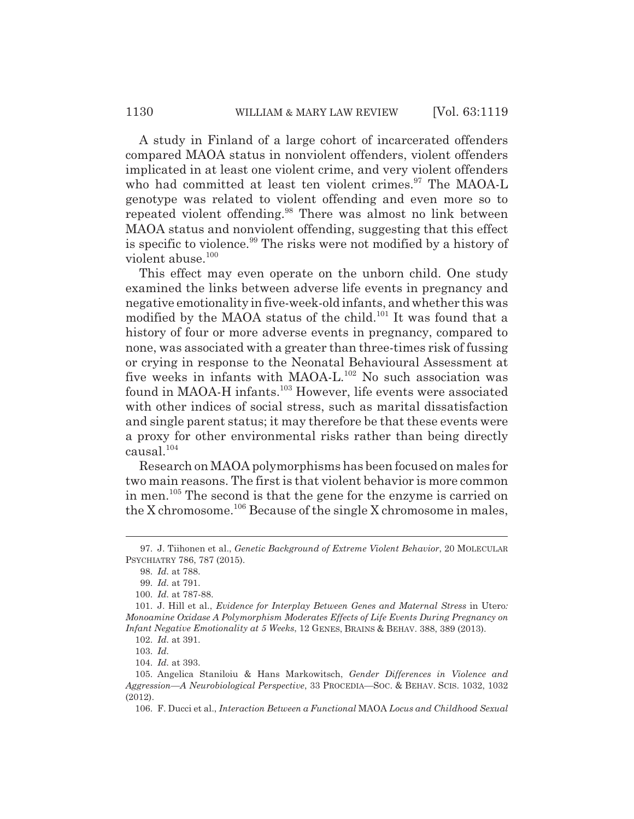A study in Finland of a large cohort of incarcerated offenders compared MAOA status in nonviolent offenders, violent offenders implicated in at least one violent crime, and very violent offenders who had committed at least ten violent crimes. $97$  The MAOA-L genotype was related to violent offending and even more so to repeated violent offending.<sup>98</sup> There was almost no link between MAOA status and nonviolent offending, suggesting that this effect is specific to violence.<sup>99</sup> The risks were not modified by a history of violent abuse.<sup>100</sup>

This effect may even operate on the unborn child. One study examined the links between adverse life events in pregnancy and negative emotionality in five-week-old infants, and whether this was modified by the MAOA status of the child.<sup>101</sup> It was found that a history of four or more adverse events in pregnancy, compared to none, was associated with a greater than three-times risk of fussing or crying in response to the Neonatal Behavioural Assessment at five weeks in infants with MAOA-L.<sup>102</sup> No such association was found in MAOA-H infants.<sup>103</sup> However, life events were associated with other indices of social stress, such as marital dissatisfaction and single parent status; it may therefore be that these events were a proxy for other environmental risks rather than being directly causal. $104$ 

Research on MAOA polymorphisms has been focused on males for two main reasons. The first is that violent behavior is more common in men.105 The second is that the gene for the enzyme is carried on the X chromosome.<sup>106</sup> Because of the single X chromosome in males,

<sup>97.</sup> J. Tiihonen et al., *Genetic Background of Extreme Violent Behavior*, 20 MOLECULAR PSYCHIATRY 786, 787 (2015).

<sup>98.</sup> *Id.* at 788.

<sup>99.</sup> *Id.* at 791.

<sup>100.</sup> *Id.* at 787-88.

<sup>101.</sup> J. Hill et al., *Evidence for Interplay Between Genes and Maternal Stress* in Utero*: Monoamine Oxidase A Polymorphism Moderates Effects of Life Events During Pregnancy on Infant Negative Emotionality at 5 Weeks*, 12 GENES, BRAINS & BEHAV. 388, 389 (2013).

<sup>102.</sup> *Id.* at 391.

<sup>103.</sup> *Id.*

<sup>104.</sup> *Id.* at 393.

<sup>105.</sup> Angelica Staniloiu & Hans Markowitsch, *Gender Differences in Violence and Aggression—A Neurobiological Perspective*, 33 PROCEDIA—SOC.&BEHAV. SCIS. 1032, 1032 (2012).

<sup>106.</sup> F. Ducci et al., *Interaction Between a Functional* MAOA *Locus and Childhood Sexual*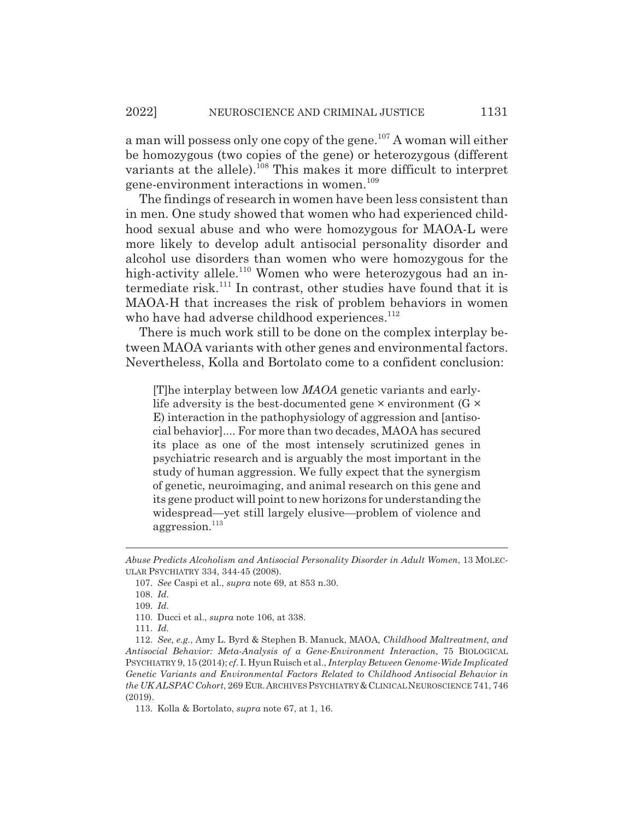a man will possess only one copy of the gene.<sup>107</sup> A woman will either be homozygous (two copies of the gene) or heterozygous (different variants at the allele).<sup>108</sup> This makes it more difficult to interpret gene-environment interactions in women.<sup>109</sup>

The findings of research in women have been less consistent than in men. One study showed that women who had experienced childhood sexual abuse and who were homozygous for MAOA-L were more likely to develop adult antisocial personality disorder and alcohol use disorders than women who were homozygous for the high-activity allele.<sup>110</sup> Women who were heterozygous had an intermediate risk.<sup>111</sup> In contrast, other studies have found that it is MAOA-H that increases the risk of problem behaviors in women who have had adverse childhood experiences.<sup>112</sup>

There is much work still to be done on the complex interplay between MAOA variants with other genes and environmental factors. Nevertheless, Kolla and Bortolato come to a confident conclusion:

[T]he interplay between low *MAOA* genetic variants and earlylife adversity is the best-documented gene  $\times$  environment (G  $\times$ E) interaction in the pathophysiology of aggression and [antisocial behavior].... For more than two decades, MAOA has secured its place as one of the most intensely scrutinized genes in psychiatric research and is arguably the most important in the study of human aggression. We fully expect that the synergism of genetic, neuroimaging, and animal research on this gene and its gene product will point to new horizons for understanding the widespread—yet still largely elusive—problem of violence and aggression.<sup>113</sup>

*Abuse Predicts Alcoholism and Antisocial Personality Disorder in Adult Women*, 13 MOLEC-ULAR PSYCHIATRY 334, 344-45 (2008).

<sup>107.</sup> *See* Caspi et al., *supra* note 69, at 853 n.30.

<sup>108.</sup> *Id.*

<sup>109.</sup> *Id.*

<sup>110.</sup> Ducci et al., *supra* note 106, at 338.

<sup>111.</sup> *Id.*

<sup>112.</sup> *See, e.g.*, Amy L. Byrd & Stephen B. Manuck, MAOA*, Childhood Maltreatment, and Antisocial Behavior: Meta-Analysis of a Gene-Environment Interaction*, 75 BIOLOGICAL PSYCHIATRY 9, 15 (2014); *cf*. I. Hyun Ruisch et al., *Interplay Between Genome-Wide Implicated Genetic Variants and Environmental Factors Related to Childhood Antisocial Behavior in the UK ALSPAC Cohort*, 269 EUR.ARCHIVES PSYCHIATRY&CLINICAL NEUROSCIENCE 741, 746 (2019).

<sup>113.</sup> Kolla & Bortolato, *supra* note 67, at 1, 16.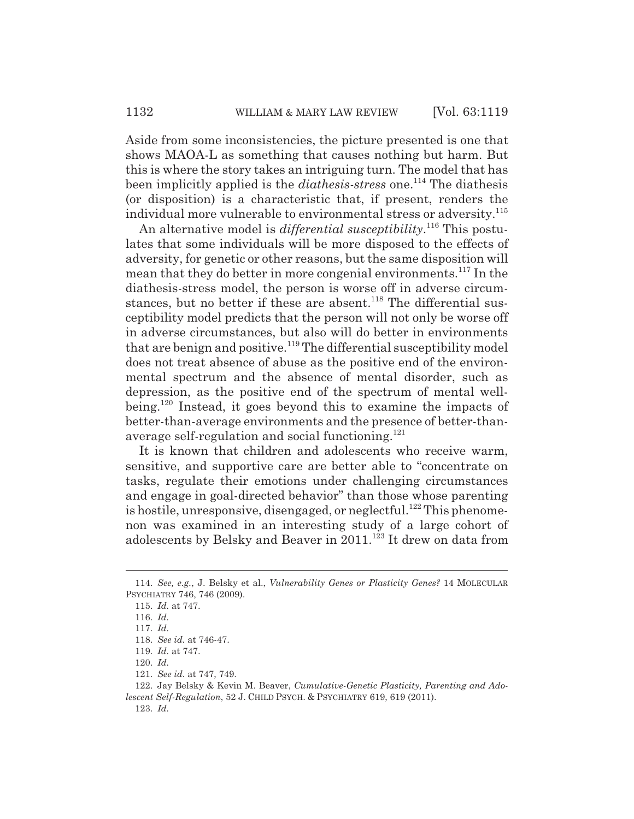Aside from some inconsistencies, the picture presented is one that shows MAOA-L as something that causes nothing but harm. But this is where the story takes an intriguing turn. The model that has been implicitly applied is the *diathesis-stress* one.<sup>114</sup> The diathesis (or disposition) is a characteristic that, if present, renders the individual more vulnerable to environmental stress or adversity.<sup>115</sup>

An alternative model is *differential susceptibility*.<sup>116</sup> This postulates that some individuals will be more disposed to the effects of adversity, for genetic or other reasons, but the same disposition will mean that they do better in more congenial environments.<sup>117</sup> In the diathesis-stress model, the person is worse off in adverse circumstances, but no better if these are absent.<sup>118</sup> The differential susceptibility model predicts that the person will not only be worse off in adverse circumstances, but also will do better in environments that are benign and positive.<sup>119</sup> The differential susceptibility model does not treat absence of abuse as the positive end of the environmental spectrum and the absence of mental disorder, such as depression, as the positive end of the spectrum of mental wellbeing.120 Instead, it goes beyond this to examine the impacts of better-than-average environments and the presence of better-thanaverage self-regulation and social functioning.<sup>121</sup>

It is known that children and adolescents who receive warm, sensitive, and supportive care are better able to "concentrate on tasks, regulate their emotions under challenging circumstances and engage in goal-directed behavior" than those whose parenting is hostile, unresponsive, disengaged, or neglectful.<sup>122</sup> This phenomenon was examined in an interesting study of a large cohort of adolescents by Belsky and Beaver in 2011.123 It drew on data from

<sup>114.</sup> *See, e.g.*, J. Belsky et al., *Vulnerability Genes or Plasticity Genes?* 14 MOLECULAR PSYCHIATRY 746, 746 (2009).

<sup>115.</sup> *Id.* at 747.

<sup>116.</sup> *Id.*

<sup>117.</sup> *Id.*

<sup>118.</sup> *See id.* at 746-47.

<sup>119.</sup> *Id.* at 747.

<sup>120.</sup> *Id.*

<sup>121.</sup> *See id.* at 747, 749.

<sup>122.</sup> Jay Belsky & Kevin M. Beaver, *Cumulative-Genetic Plasticity, Parenting and Adolescent Self-Regulation*, 52 J. CHILD PSYCH.&PSYCHIATRY 619, 619 (2011).

<sup>123.</sup> *Id.*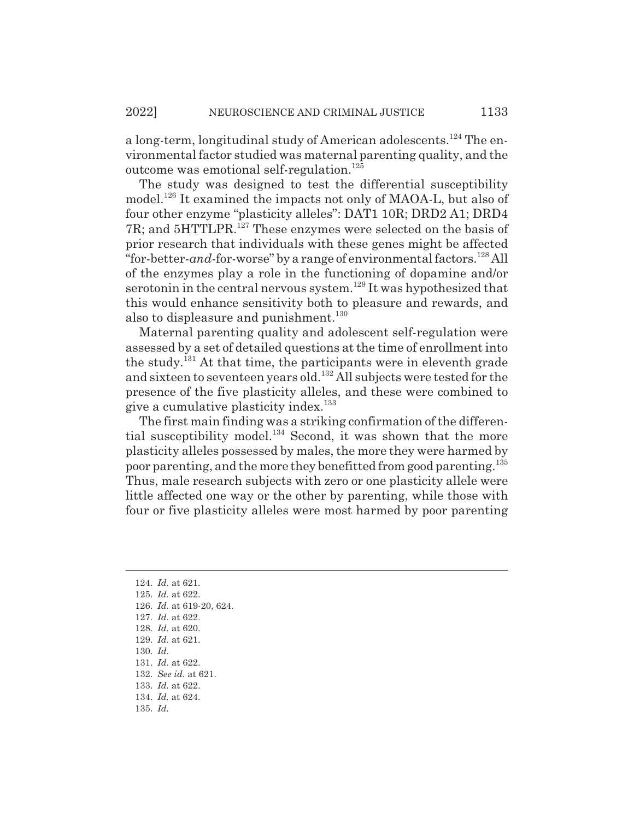a long-term, longitudinal study of American adolescents.124 The environmental factor studied was maternal parenting quality, and the outcome was emotional self-regulation.<sup>125</sup>

The study was designed to test the differential susceptibility model.<sup>126</sup> It examined the impacts not only of MAOA-L, but also of four other enzyme "plasticity alleles": DAT1 10R; DRD2 A1; DRD4 7R; and 5HTTLPR.<sup>127</sup> These enzymes were selected on the basis of prior research that individuals with these genes might be affected "for-better-*and*-for-worse" by a range of environmental factors.128 All of the enzymes play a role in the functioning of dopamine and/or serotonin in the central nervous system.<sup>129</sup> It was hypothesized that this would enhance sensitivity both to pleasure and rewards, and also to displeasure and punishment. $130$ 

Maternal parenting quality and adolescent self-regulation were assessed by a set of detailed questions at the time of enrollment into the study.<sup>131</sup> At that time, the participants were in eleventh grade and sixteen to seventeen years old.132 All subjects were tested for the presence of the five plasticity alleles, and these were combined to give a cumulative plasticity index.<sup>133</sup>

The first main finding was a striking confirmation of the differential susceptibility model.<sup>134</sup> Second, it was shown that the more plasticity alleles possessed by males, the more they were harmed by poor parenting, and the more they benefitted from good parenting.<sup>135</sup> Thus, male research subjects with zero or one plasticity allele were little affected one way or the other by parenting, while those with four or five plasticity alleles were most harmed by poor parenting

135. *Id.*

<sup>124.</sup> *Id.* at 621. 125. *Id.* at 622. 126. *Id.* at 619-20, 624. 127. *Id.* at 622. 128. *Id.* at 620. 129. *Id.* at 621. 130. *Id.* 131. *Id.* at 622. 132. *See id.* at 621. 133. *Id.* at 622.

<sup>134.</sup> *Id.* at 624.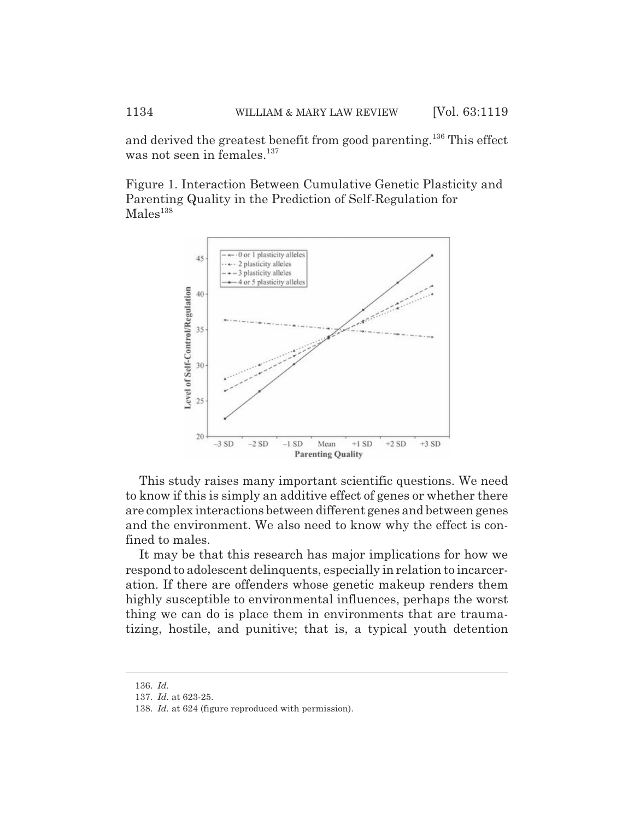and derived the greatest benefit from good parenting.136 This effect was not seen in females. $137$ 

Figure 1. Interaction Between Cumulative Genetic Plasticity and Parenting Quality in the Prediction of Self-Regulation for  $Males<sup>138</sup>$ 



This study raises many important scientific questions. We need to know if this is simply an additive effect of genes or whether there are complex interactions between different genes and between genes and the environment. We also need to know why the effect is confined to males.

It may be that this research has major implications for how we respond to adolescent delinquents, especially in relation to incarceration. If there are offenders whose genetic makeup renders them highly susceptible to environmental influences, perhaps the worst thing we can do is place them in environments that are traumatizing, hostile, and punitive; that is, a typical youth detention

<sup>136.</sup> *Id.*

<sup>137.</sup> *Id.* at 623-25.

<sup>138.</sup> *Id.* at 624 (figure reproduced with permission).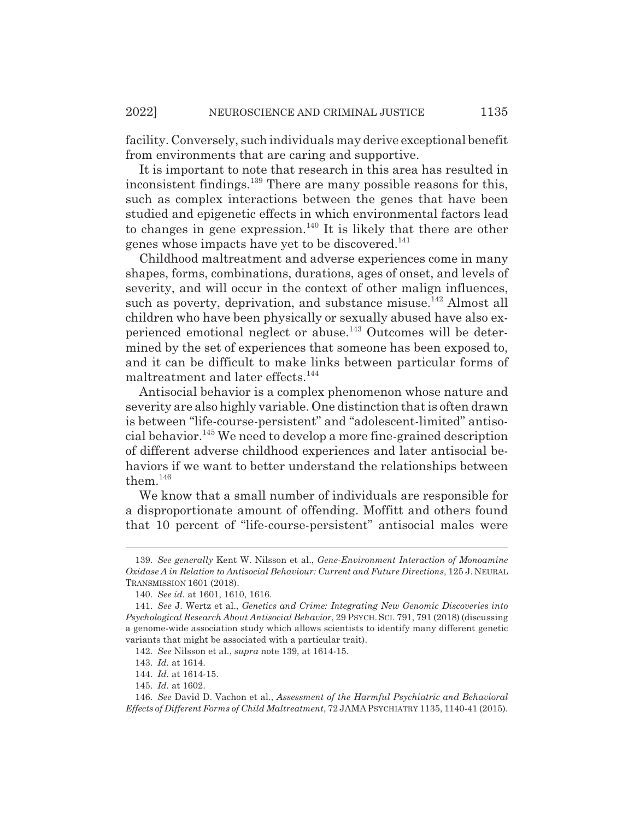facility. Conversely, such individuals may derive exceptional benefit from environments that are caring and supportive.

It is important to note that research in this area has resulted in inconsistent findings.<sup>139</sup> There are many possible reasons for this, such as complex interactions between the genes that have been studied and epigenetic effects in which environmental factors lead to changes in gene expression.<sup>140</sup> It is likely that there are other genes whose impacts have yet to be discovered.<sup>141</sup>

Childhood maltreatment and adverse experiences come in many shapes, forms, combinations, durations, ages of onset, and levels of severity, and will occur in the context of other malign influences, such as poverty, deprivation, and substance misuse.<sup>142</sup> Almost all children who have been physically or sexually abused have also experienced emotional neglect or abuse.143 Outcomes will be determined by the set of experiences that someone has been exposed to, and it can be difficult to make links between particular forms of maltreatment and later effects.<sup>144</sup>

Antisocial behavior is a complex phenomenon whose nature and severity are also highly variable. One distinction that is often drawn is between "life-course-persistent" and "adolescent-limited" antisocial behavior.145 We need to develop a more fine-grained description of different adverse childhood experiences and later antisocial behaviors if we want to better understand the relationships between them.<sup>146</sup>

We know that a small number of individuals are responsible for a disproportionate amount of offending. Moffitt and others found that 10 percent of "life-course-persistent" antisocial males were

<sup>139.</sup> *See generally* Kent W. Nilsson et al., *Gene-Environment Interaction of Monoamine Oxidase A in Relation to Antisocial Behaviour: Current and Future Directions*, 125 J. NEURAL TRANSMISSION 1601 (2018).

<sup>140.</sup> *See id.* at 1601, 1610, 1616.

<sup>141.</sup> *See* J. Wertz et al., *Genetics and Crime: Integrating New Genomic Discoveries into Psychological Research About Antisocial Behavior*, 29 PSYCH. SCI. 791, 791 (2018) (discussing a genome-wide association study which allows scientists to identify many different genetic variants that might be associated with a particular trait).

<sup>142.</sup> *See* Nilsson et al., *supra* note 139, at 1614-15.

<sup>143.</sup> *Id.* at 1614.

<sup>144.</sup> *Id.* at 1614-15.

<sup>145.</sup> *Id.* at 1602.

<sup>146.</sup> *See* David D. Vachon et al., *Assessment of the Harmful Psychiatric and Behavioral Effects of Different Forms of Child Maltreatment*, 72 JAMAPSYCHIATRY 1135, 1140-41 (2015).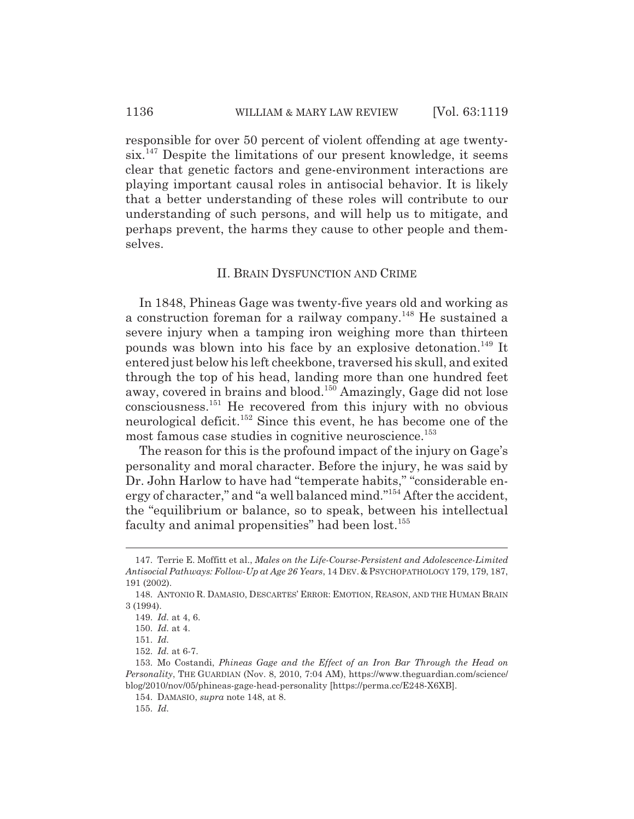responsible for over 50 percent of violent offending at age twenty $s$ ix.<sup>147</sup> Despite the limitations of our present knowledge, it seems clear that genetic factors and gene-environment interactions are playing important causal roles in antisocial behavior. It is likely that a better understanding of these roles will contribute to our understanding of such persons, and will help us to mitigate, and perhaps prevent, the harms they cause to other people and themselves.

#### II. BRAIN DYSFUNCTION AND CRIME

In 1848, Phineas Gage was twenty-five years old and working as a construction foreman for a railway company.148 He sustained a severe injury when a tamping iron weighing more than thirteen pounds was blown into his face by an explosive detonation.149 It entered just below his left cheekbone, traversed his skull, and exited through the top of his head, landing more than one hundred feet away, covered in brains and blood.<sup>150</sup> Amazingly, Gage did not lose consciousness.151 He recovered from this injury with no obvious neurological deficit.<sup>152</sup> Since this event, he has become one of the most famous case studies in cognitive neuroscience.<sup>153</sup>

The reason for this is the profound impact of the injury on Gage's personality and moral character. Before the injury, he was said by Dr. John Harlow to have had "temperate habits," "considerable energy of character," and "a well balanced mind."154 After the accident, the "equilibrium or balance, so to speak, between his intellectual faculty and animal propensities" had been lost.<sup>155</sup>

<sup>147.</sup> Terrie E. Moffitt et al., *Males on the Life-Course-Persistent and Adolescence-Limited Antisocial Pathways: Follow-Up at Age 26 Years*, 14 DEV.&PSYCHOPATHOLOGY 179, 179, 187, 191 (2002).

<sup>148.</sup> ANTONIO R. DAMASIO, DESCARTES' ERROR: EMOTION, REASON, AND THE HUMAN BRAIN 3 (1994).

<sup>149.</sup> *Id.* at 4, 6.

<sup>150.</sup> *Id.* at 4.

<sup>151.</sup> *Id.*

<sup>152.</sup> *Id.* at 6-7.

<sup>153.</sup> Mo Costandi, *Phineas Gage and the Effect of an Iron Bar Through the Head on Personality*, THE GUARDIAN (Nov. 8, 2010, 7:04 AM), https://www.theguardian.com/science/ blog/2010/nov/05/phineas-gage-head-personality [https://perma.cc/E248-X6XB].

<sup>154.</sup> DAMASIO, *supra* note 148, at 8.

<sup>155.</sup> *Id.*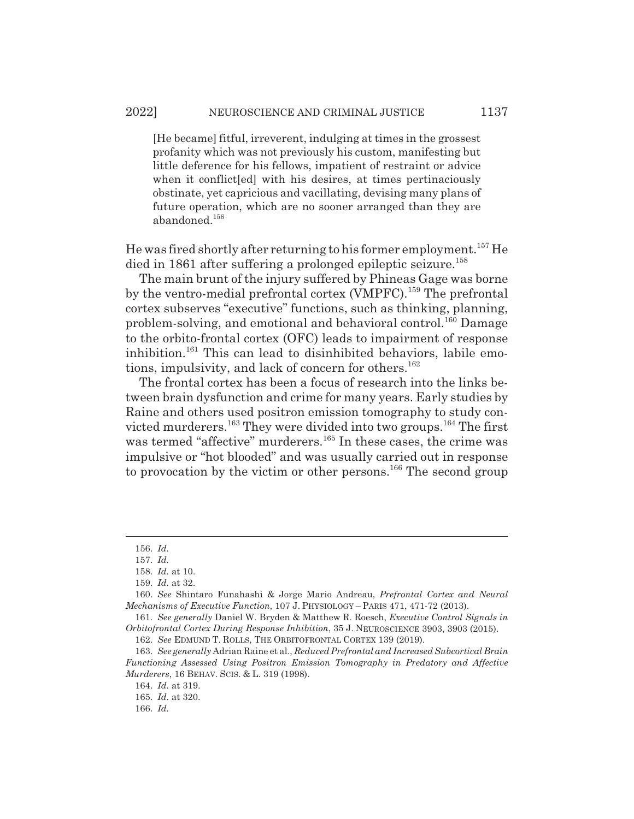#### 2022] NEUROSCIENCE AND CRIMINAL JUSTICE 1137

[He became] fitful, irreverent, indulging at times in the grossest profanity which was not previously his custom, manifesting but little deference for his fellows, impatient of restraint or advice when it conflict [ed] with his desires, at times pertinaciously obstinate, yet capricious and vacillating, devising many plans of future operation, which are no sooner arranged than they are abandoned.<sup>156</sup>

He was fired shortly after returning to his former employment.<sup>157</sup> He died in 1861 after suffering a prolonged epileptic seizure.<sup>158</sup>

The main brunt of the injury suffered by Phineas Gage was borne by the ventro-medial prefrontal cortex (VMPFC).<sup>159</sup> The prefrontal cortex subserves "executive" functions, such as thinking, planning, problem-solving, and emotional and behavioral control.160 Damage to the orbito-frontal cortex (OFC) leads to impairment of response inhibition.<sup>161</sup> This can lead to disinhibited behaviors, labile emotions, impulsivity, and lack of concern for others.<sup>162</sup>

The frontal cortex has been a focus of research into the links between brain dysfunction and crime for many years. Early studies by Raine and others used positron emission tomography to study convicted murderers.<sup>163</sup> They were divided into two groups.<sup>164</sup> The first was termed "affective" murderers.<sup>165</sup> In these cases, the crime was impulsive or "hot blooded" and was usually carried out in response to provocation by the victim or other persons.<sup>166</sup> The second group

<sup>156.</sup> *Id.*

<sup>157.</sup> *Id.*

<sup>158.</sup> *Id.* at 10.

<sup>159.</sup> *Id.* at 32.

<sup>160.</sup> *See* Shintaro Funahashi & Jorge Mario Andreau, *Prefrontal Cortex and Neural Mechanisms of Executive Function*, 107 J. PHYSIOLOGY – PARIS 471, 471-72 (2013).

<sup>161.</sup> *See generally* Daniel W. Bryden & Matthew R. Roesch, *Executive Control Signals in Orbitofrontal Cortex During Response Inhibition*, 35 J. NEUROSCIENCE 3903, 3903 (2015).

<sup>162.</sup> *See* EDMUND T. ROLLS, THE ORBITOFRONTAL CORTEX 139 (2019).

<sup>163.</sup> *See generally* Adrian Raine et al., *Reduced Prefrontal and Increased Subcortical Brain Functioning Assessed Using Positron Emission Tomography in Predatory and Affective Murderers*, 16 BEHAV. SCIS. & L. 319 (1998).

<sup>164.</sup> *Id.* at 319.

<sup>165.</sup> *Id.* at 320.

<sup>166.</sup> *Id.*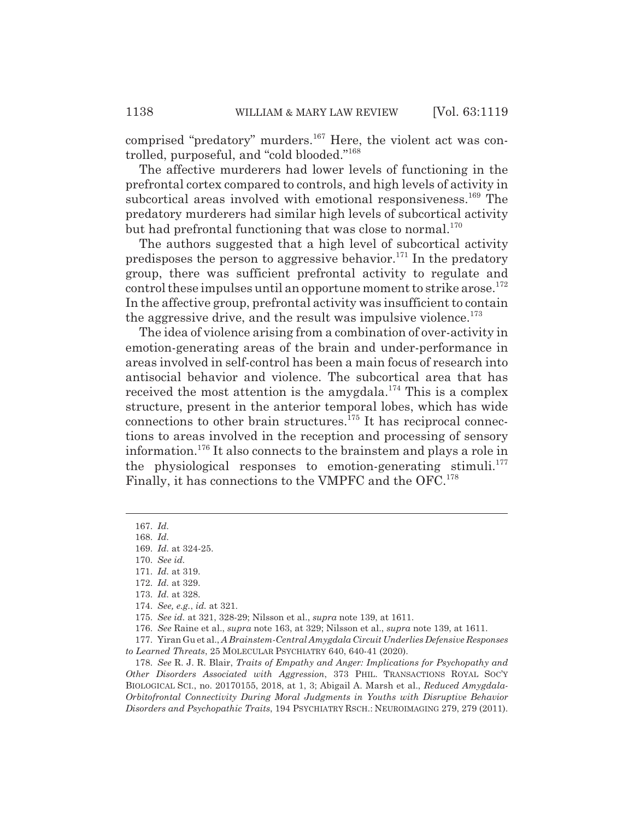comprised "predatory" murders.<sup>167</sup> Here, the violent act was controlled, purposeful, and "cold blooded."168

The affective murderers had lower levels of functioning in the prefrontal cortex compared to controls, and high levels of activity in subcortical areas involved with emotional responsiveness.<sup>169</sup> The predatory murderers had similar high levels of subcortical activity but had prefrontal functioning that was close to normal.<sup>170</sup>

The authors suggested that a high level of subcortical activity predisposes the person to aggressive behavior.<sup>171</sup> In the predatory group, there was sufficient prefrontal activity to regulate and control these impulses until an opportune moment to strike arose.<sup>172</sup> In the affective group, prefrontal activity was insufficient to contain the aggressive drive, and the result was impulsive violence.<sup>173</sup>

The idea of violence arising from a combination of over-activity in emotion-generating areas of the brain and under-performance in areas involved in self-control has been a main focus of research into antisocial behavior and violence. The subcortical area that has received the most attention is the amygdala.<sup>174</sup> This is a complex structure, present in the anterior temporal lobes, which has wide connections to other brain structures.<sup> $175$ </sup> It has reciprocal connections to areas involved in the reception and processing of sensory information.176 It also connects to the brainstem and plays a role in the physiological responses to emotion-generating stimuli.<sup>177</sup> Finally, it has connections to the VMPFC and the OFC.<sup>178</sup>

177. Yiran Gu et al., *A Brainstem-Central Amygdala Circuit Underlies Defensive Responses to Learned Threats*, 25 MOLECULAR PSYCHIATRY 640, 640-41 (2020).

178. *See* R. J. R. Blair, *Traits of Empathy and Anger: Implications for Psychopathy and Other Disorders Associated with Aggression*, 373 PHIL. TRANSACTIONS ROYAL SOC'Y BIOLOGICAL SCI., no. 20170155, 2018, at 1, 3; Abigail A. Marsh et al., *Reduced Amygdala-Orbitofrontal Connectivity During Moral Judgments in Youths with Disruptive Behavior Disorders and Psychopathic Traits*, 194 PSYCHIATRY RSCH.: NEUROIMAGING 279, 279 (2011).

<sup>167.</sup> *Id.*

<sup>168.</sup> *Id.*

<sup>169.</sup> *Id.* at 324-25.

<sup>170.</sup> *See id.*

<sup>171.</sup> *Id.* at 319.

<sup>172.</sup> *Id.* at 329.

<sup>173.</sup> *Id.* at 328.

<sup>174.</sup> *See, e.g.*, *id.* at 321.

<sup>175.</sup> *See id.* at 321, 328-29; Nilsson et al., *supra* note 139, at 1611.

<sup>176.</sup> *See* Raine et al., *supra* note 163, at 329; Nilsson et al., *supra* note 139, at 1611.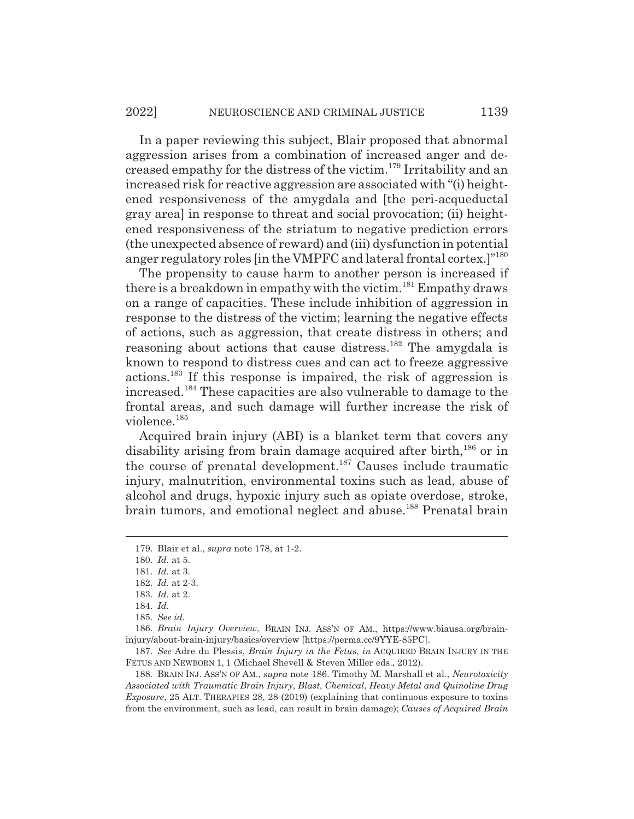In a paper reviewing this subject, Blair proposed that abnormal aggression arises from a combination of increased anger and decreased empathy for the distress of the victim.179 Irritability and an increased risk for reactive aggression are associated with "(i) heightened responsiveness of the amygdala and [the peri-acqueductal gray area] in response to threat and social provocation; (ii) heightened responsiveness of the striatum to negative prediction errors (the unexpected absence of reward) and (iii) dysfunction in potential anger regulatory roles [in the VMPFC and lateral frontal cortex.]"180

The propensity to cause harm to another person is increased if there is a breakdown in empathy with the victim.<sup>181</sup> Empathy draws on a range of capacities. These include inhibition of aggression in response to the distress of the victim; learning the negative effects of actions, such as aggression, that create distress in others; and reasoning about actions that cause distress.<sup>182</sup> The amygdala is known to respond to distress cues and can act to freeze aggressive actions.183 If this response is impaired, the risk of aggression is increased.184 These capacities are also vulnerable to damage to the frontal areas, and such damage will further increase the risk of violence.185

Acquired brain injury (ABI) is a blanket term that covers any disability arising from brain damage acquired after birth,<sup>186</sup> or in the course of prenatal development.187 Causes include traumatic injury, malnutrition, environmental toxins such as lead, abuse of alcohol and drugs, hypoxic injury such as opiate overdose, stroke, brain tumors, and emotional neglect and abuse.<sup>188</sup> Prenatal brain

187. *See* Adre du Plessis, *Brain Injury in the Fetus*, *in* ACQUIRED BRAIN INJURY IN THE FETUS AND NEWBORN 1, 1 (Michael Shevell & Steven Miller eds., 2012).

188. BRAIN INJ. ASS'N OF AM., *supra* note 186. Timothy M. Marshall et al., *Neurotoxicity Associated with Traumatic Brain Injury*, *Blast*, *Chemical*, *Heavy Metal and Quinoline Drug Exposure*, 25 ALT. THERAPIES 28, 28 (2019) (explaining that continuous exposure to toxins from the environment, such as lead, can result in brain damage); *Causes of Acquired Brain*

<sup>179.</sup> Blair et al., *supra* note 178, at 1-2.

<sup>180.</sup> *Id.* at 5.

<sup>181.</sup> *Id.* at 3.

<sup>182.</sup> *Id.* at 2-3.

<sup>183.</sup> *Id.* at 2.

<sup>184.</sup> *Id.*

<sup>185.</sup> *See id.*

<sup>186.</sup> *Brain Injury Overview*, BRAIN INJ. ASS'N OF AM., https://www.biausa.org/braininjury/about-brain-injury/basics/overview [https://perma.cc/9YYE-85PC].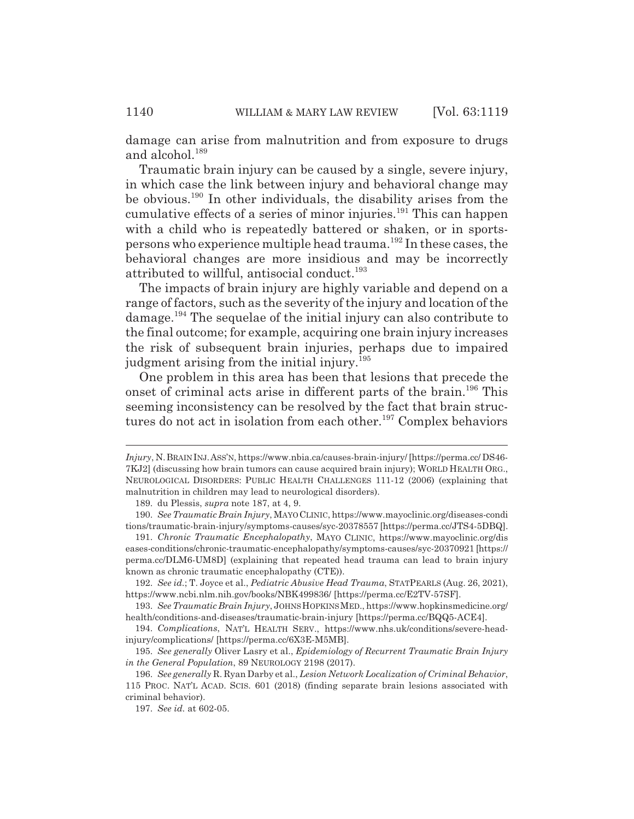damage can arise from malnutrition and from exposure to drugs and alcohol.<sup>189</sup>

Traumatic brain injury can be caused by a single, severe injury, in which case the link between injury and behavioral change may be obvious.<sup>190</sup> In other individuals, the disability arises from the cumulative effects of a series of minor injuries.<sup>191</sup> This can happen with a child who is repeatedly battered or shaken, or in sportspersons who experience multiple head trauma.192 In these cases, the behavioral changes are more insidious and may be incorrectly attributed to willful, antisocial conduct.<sup>193</sup>

The impacts of brain injury are highly variable and depend on a range of factors, such as the severity of the injury and location of the damage.194 The sequelae of the initial injury can also contribute to the final outcome; for example, acquiring one brain injury increases the risk of subsequent brain injuries, perhaps due to impaired judgment arising from the initial injury.<sup>195</sup>

One problem in this area has been that lesions that precede the onset of criminal acts arise in different parts of the brain.196 This seeming inconsistency can be resolved by the fact that brain structures do not act in isolation from each other.<sup>197</sup> Complex behaviors

*Injury*, N.BRAIN INJ.ASS'N, https://www.nbia.ca/causes-brain-injury/ [https://perma.cc/ DS46- 7KJ2] (discussing how brain tumors can cause acquired brain injury); WORLD HEALTH ORG., NEUROLOGICAL DISORDERS: PUBLIC HEALTH CHALLENGES 111-12 (2006) (explaining that malnutrition in children may lead to neurological disorders).

<sup>189.</sup> du Plessis, *supra* note 187, at 4, 9.

<sup>190.</sup> *See Traumatic Brain Injury*, MAYO CLINIC, https://www.mayoclinic.org/diseases-condi tions/traumatic-brain-injury/symptoms-causes/syc-20378557 [https://perma.cc/JTS4-5DBQ].

<sup>191.</sup> *Chronic Traumatic Encephalopathy*, MAYO CLINIC, https://www.mayoclinic.org/dis eases-conditions/chronic-traumatic-encephalopathy/symptoms-causes/syc-20370921 [https:// perma.cc/DLM6-UM8D] (explaining that repeated head trauma can lead to brain injury known as chronic traumatic encephalopathy (CTE)).

<sup>192.</sup> *See id.*; T. Joyce et al., *Pediatric Abusive Head Trauma*, STATPEARLS (Aug. 26, 2021), https://www.ncbi.nlm.nih.gov/books/NBK499836/ [https://perma.cc/E2TV-57SF].

<sup>193.</sup> *See Traumatic Brain Injury*, JOHNS HOPKINS MED., https://www.hopkinsmedicine.org/ health/conditions-and-diseases/traumatic-brain-injury [https://perma.cc/BQQ5-ACE4].

<sup>194.</sup> *Complications*, NAT'L HEALTH SERV., https://www.nhs.uk/conditions/severe-headinjury/complications/ [https://perma.cc/6X3E-M5MB].

<sup>195.</sup> *See generally* Oliver Lasry et al., *Epidemiology of Recurrent Traumatic Brain Injury in the General Population*, 89 NEUROLOGY 2198 (2017).

<sup>196.</sup> *See generally* R. Ryan Darby et al., *Lesion Network Localization of Criminal Behavior*, 115 PROC. NAT'L ACAD. SCIS. 601 (2018) (finding separate brain lesions associated with criminal behavior).

<sup>197.</sup> *See id.* at 602-05.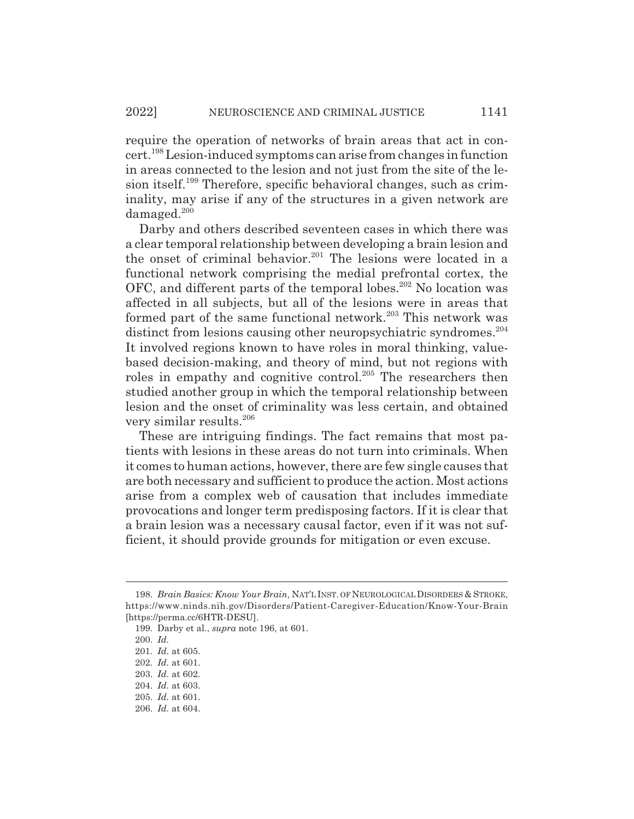require the operation of networks of brain areas that act in concert.198 Lesion-induced symptoms can arise from changes in function in areas connected to the lesion and not just from the site of the lesion itself.199 Therefore, specific behavioral changes, such as criminality, may arise if any of the structures in a given network are  $d$ amaged. $200$ 

Darby and others described seventeen cases in which there was a clear temporal relationship between developing a brain lesion and the onset of criminal behavior.<sup>201</sup> The lesions were located in a functional network comprising the medial prefrontal cortex, the OFC, and different parts of the temporal lobes.<sup>202</sup> No location was affected in all subjects, but all of the lesions were in areas that formed part of the same functional network.<sup>203</sup> This network was distinct from lesions causing other neuropsychiatric syndromes.<sup>204</sup> It involved regions known to have roles in moral thinking, valuebased decision-making, and theory of mind, but not regions with roles in empathy and cognitive control.<sup>205</sup> The researchers then studied another group in which the temporal relationship between lesion and the onset of criminality was less certain, and obtained very similar results.206

These are intriguing findings. The fact remains that most patients with lesions in these areas do not turn into criminals. When it comes to human actions, however, there are few single causes that are both necessary and sufficient to produce the action. Most actions arise from a complex web of causation that includes immediate provocations and longer term predisposing factors. If it is clear that a brain lesion was a necessary causal factor, even if it was not sufficient, it should provide grounds for mitigation or even excuse.

<sup>198.</sup> *Brain Basics: Know Your Brain*, NAT'L INST. OF NEUROLOGICAL DISORDERS & STROKE, https://www.ninds.nih.gov/Disorders/Patient-Caregiver-Education/Know-Your-Brain [https://perma.cc/6HTR-DESU].

<sup>199.</sup> Darby et al., *supra* note 196, at 601.

<sup>200.</sup> *Id.*

<sup>201.</sup> *Id.* at 605.

<sup>202.</sup> *Id.* at 601.

<sup>203.</sup> *Id.* at 602.

<sup>204.</sup> *Id.* at 603.

<sup>205.</sup> *Id.* at 601.

<sup>206.</sup> *Id.* at 604.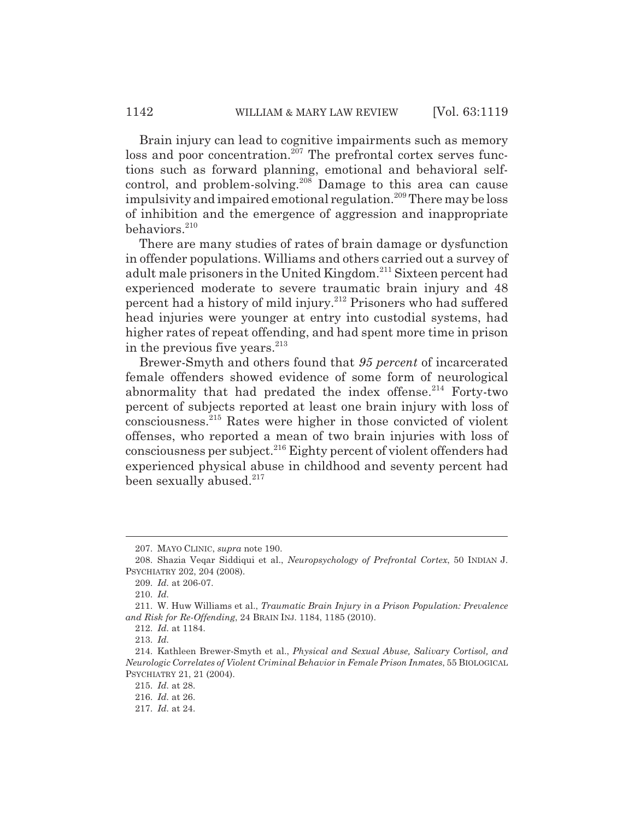Brain injury can lead to cognitive impairments such as memory loss and poor concentration.<sup>207</sup> The prefrontal cortex serves functions such as forward planning, emotional and behavioral selfcontrol, and problem-solving.<sup>208</sup> Damage to this area can cause impulsivity and impaired emotional regulation.<sup>209</sup> There may be loss of inhibition and the emergence of aggression and inappropriate behaviors.<sup>210</sup>

There are many studies of rates of brain damage or dysfunction in offender populations. Williams and others carried out a survey of adult male prisoners in the United Kingdom.211 Sixteen percent had experienced moderate to severe traumatic brain injury and 48 percent had a history of mild injury.212 Prisoners who had suffered head injuries were younger at entry into custodial systems, had higher rates of repeat offending, and had spent more time in prison in the previous five years.<sup>213</sup>

Brewer-Smyth and others found that *95 percent* of incarcerated female offenders showed evidence of some form of neurological abnormality that had predated the index offense. $214$  Forty-two percent of subjects reported at least one brain injury with loss of consciousness.215 Rates were higher in those convicted of violent offenses, who reported a mean of two brain injuries with loss of consciousness per subject.<sup>216</sup> Eighty percent of violent offenders had experienced physical abuse in childhood and seventy percent had been sexually abused.<sup>217</sup>

<sup>207.</sup> MAYO CLINIC, *supra* note 190.

<sup>208.</sup> Shazia Veqar Siddiqui et al., *Neuropsychology of Prefrontal Cortex*, 50 INDIAN J. PSYCHIATRY 202, 204 (2008).

<sup>209.</sup> *Id.* at 206-07.

<sup>210.</sup> *Id.*

<sup>211.</sup> W. Huw Williams et al., *Traumatic Brain Injury in a Prison Population: Prevalence and Risk for Re-Offending*, 24 BRAIN INJ. 1184, 1185 (2010).

<sup>212.</sup> *Id.* at 1184.

<sup>213.</sup> *Id.*

<sup>214.</sup> Kathleen Brewer-Smyth et al., *Physical and Sexual Abuse, Salivary Cortisol, and Neurologic Correlates of Violent Criminal Behavior in Female Prison Inmates*, 55 BIOLOGICAL PSYCHIATRY 21, 21 (2004).

<sup>215.</sup> *Id.* at 28.

<sup>216.</sup> *Id.* at 26.

<sup>217.</sup> *Id.* at 24.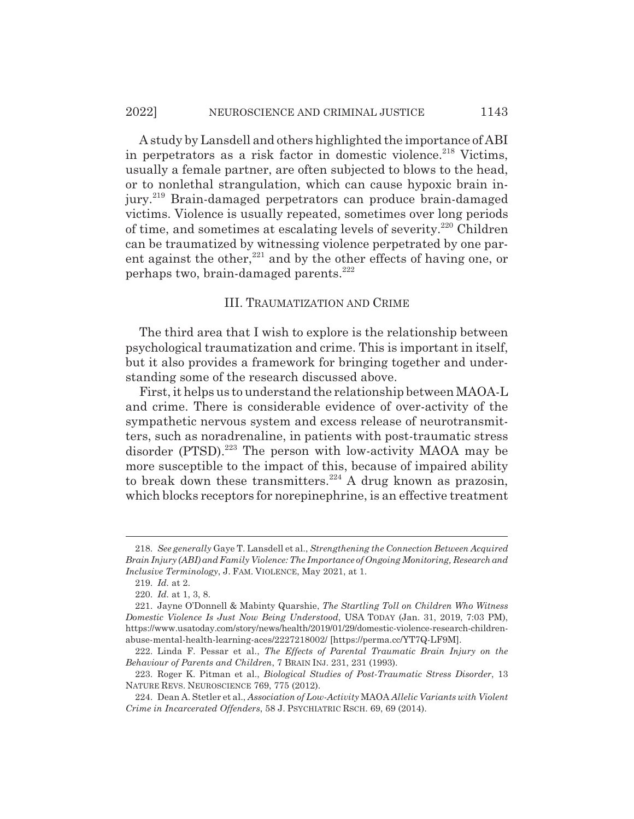A study by Lansdell and others highlighted the importance of ABI in perpetrators as a risk factor in domestic violence.<sup>218</sup> Victims, usually a female partner, are often subjected to blows to the head, or to nonlethal strangulation, which can cause hypoxic brain injury.<sup>219</sup> Brain-damaged perpetrators can produce brain-damaged victims. Violence is usually repeated, sometimes over long periods of time, and sometimes at escalating levels of severity.220 Children can be traumatized by witnessing violence perpetrated by one parent against the other, $221$  and by the other effects of having one, or perhaps two, brain-damaged parents.<sup>222</sup>

#### III. TRAUMATIZATION AND CRIME

The third area that I wish to explore is the relationship between psychological traumatization and crime. This is important in itself, but it also provides a framework for bringing together and understanding some of the research discussed above.

First, it helps us to understand the relationship between MAOA-L and crime. There is considerable evidence of over-activity of the sympathetic nervous system and excess release of neurotransmitters, such as noradrenaline, in patients with post-traumatic stress disorder (PTSD).<sup>223</sup> The person with low-activity MAOA may be more susceptible to the impact of this, because of impaired ability to break down these transmitters.<sup>224</sup> A drug known as prazosin, which blocks receptors for norepinephrine, is an effective treatment

<sup>218.</sup> *See generally* Gaye T. Lansdell et al., *Strengthening the Connection Between Acquired Brain Injury (ABI) and Family Violence: The Importance of Ongoing Monitoring, Research and Inclusive Terminology*, J. FAM. VIOLENCE, May 2021, at 1.

<sup>219.</sup> *Id.* at 2.

<sup>220.</sup> *Id.* at 1, 3, 8.

<sup>221.</sup> Jayne O'Donnell & Mabinty Quarshie, *The Startling Toll on Children Who Witness Domestic Violence Is Just Now Being Understood*, USA TODAY (Jan. 31, 2019, 7:03 PM), https://www.usatoday.com/story/news/health/2019/01/29/domestic-violence-research-childrenabuse-mental-health-learning-aces/2227218002/ [https://perma.cc/YT7Q-LF9M].

<sup>222.</sup> Linda F. Pessar et al., *The Effects of Parental Traumatic Brain Injury on the Behaviour of Parents and Children*, 7 BRAIN INJ. 231, 231 (1993).

<sup>223.</sup> Roger K. Pitman et al., *Biological Studies of Post-Traumatic Stress Disorder*, 13 NATURE REVS. NEUROSCIENCE 769, 775 (2012).

<sup>224.</sup> Dean A. Stetler et al., *Association of Low-Activity* MAOA *Allelic Variants with Violent Crime in Incarcerated Offenders*, 58 J. PSYCHIATRIC RSCH. 69, 69 (2014).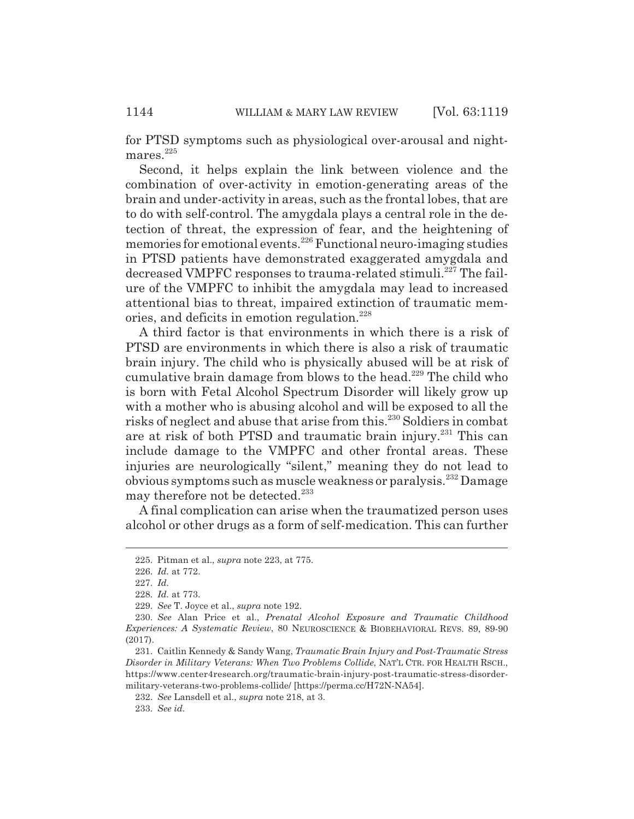for PTSD symptoms such as physiological over-arousal and nightmares. $225$ 

Second, it helps explain the link between violence and the combination of over-activity in emotion-generating areas of the brain and under-activity in areas, such as the frontal lobes, that are to do with self-control. The amygdala plays a central role in the detection of threat, the expression of fear, and the heightening of memories for emotional events.226 Functional neuro-imaging studies in PTSD patients have demonstrated exaggerated amygdala and decreased VMPFC responses to trauma-related stimuli.<sup>227</sup> The failure of the VMPFC to inhibit the amygdala may lead to increased attentional bias to threat, impaired extinction of traumatic memories, and deficits in emotion regulation.<sup>228</sup>

A third factor is that environments in which there is a risk of PTSD are environments in which there is also a risk of traumatic brain injury. The child who is physically abused will be at risk of cumulative brain damage from blows to the head.<sup>229</sup> The child who is born with Fetal Alcohol Spectrum Disorder will likely grow up with a mother who is abusing alcohol and will be exposed to all the risks of neglect and abuse that arise from this.230 Soldiers in combat are at risk of both PTSD and traumatic brain injury.231 This can include damage to the VMPFC and other frontal areas. These injuries are neurologically "silent," meaning they do not lead to obvious symptoms such as muscle weakness or paralysis.232 Damage may therefore not be detected.<sup>233</sup>

A final complication can arise when the traumatized person uses alcohol or other drugs as a form of self-medication. This can further

<sup>225.</sup> Pitman et al., *supra* note 223, at 775.

<sup>226.</sup> *Id.* at 772.

<sup>227.</sup> *Id.*

<sup>228.</sup> *Id.* at 773.

<sup>229.</sup> *See* T. Joyce et al., *supra* note 192.

<sup>230.</sup> *See* Alan Price et al., *Prenatal Alcohol Exposure and Traumatic Childhood Experiences: A Systematic Review*, 80 NEUROSCIENCE & BIOBEHAVIORAL REVS. 89, 89-90 (2017).

<sup>231.</sup> Caitlin Kennedy & Sandy Wang, *Traumatic Brain Injury and Post-Traumatic Stress Disorder in Military Veterans: When Two Problems Collide*, NAT'L CTR. FOR HEALTH RSCH., https://www.center4research.org/traumatic-brain-injury-post-traumatic-stress-disordermilitary-veterans-two-problems-collide/ [https://perma.cc/H72N-NA54].

<sup>232.</sup> *See* Lansdell et al., *supra* note 218, at 3.

<sup>233.</sup> *See id.*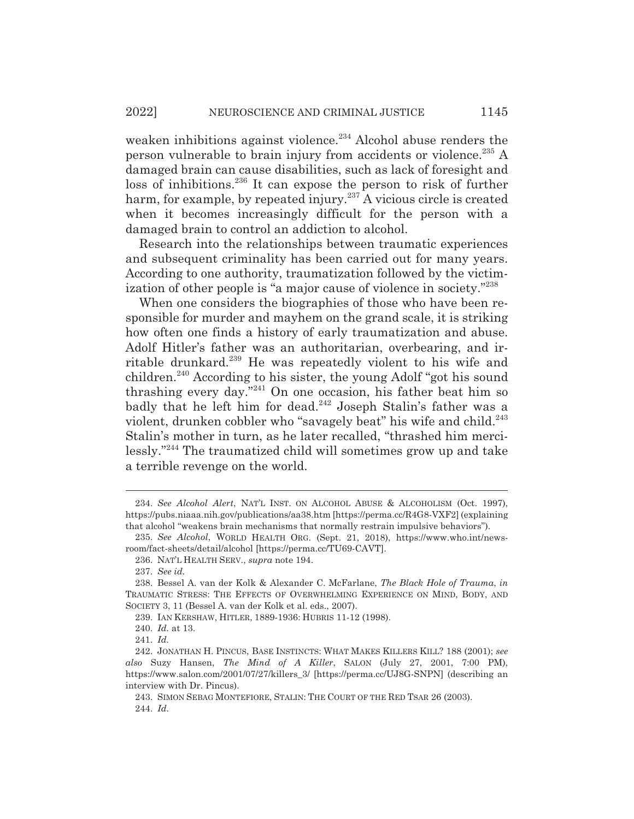weaken inhibitions against violence.<sup>234</sup> Alcohol abuse renders the person vulnerable to brain injury from accidents or violence.235 A damaged brain can cause disabilities, such as lack of foresight and loss of inhibitions.<sup>236</sup> It can expose the person to risk of further harm, for example, by repeated injury.<sup>237</sup> A vicious circle is created when it becomes increasingly difficult for the person with a damaged brain to control an addiction to alcohol.

Research into the relationships between traumatic experiences and subsequent criminality has been carried out for many years. According to one authority, traumatization followed by the victimization of other people is "a major cause of violence in society."238

When one considers the biographies of those who have been responsible for murder and mayhem on the grand scale, it is striking how often one finds a history of early traumatization and abuse. Adolf Hitler's father was an authoritarian, overbearing, and irritable drunkard.239 He was repeatedly violent to his wife and children.240 According to his sister, the young Adolf "got his sound thrashing every day."241 On one occasion, his father beat him so badly that he left him for dead.<sup>242</sup> Joseph Stalin's father was a violent, drunken cobbler who "savagely beat" his wife and child.<sup>243</sup> Stalin's mother in turn, as he later recalled, "thrashed him mercilessly."244 The traumatized child will sometimes grow up and take a terrible revenge on the world.

<sup>234.</sup> *See Alcohol Alert*, NAT'L INST. ON ALCOHOL ABUSE & ALCOHOLISM (Oct. 1997), https://pubs.niaaa.nih.gov/publications/aa38.htm [https://perma.cc/R4G8-VXF2] (explaining that alcohol "weakens brain mechanisms that normally restrain impulsive behaviors").

<sup>235.</sup> *See Alcohol*, WORLD HEALTH ORG. (Sept. 21, 2018), https://www.who.int/newsroom/fact-sheets/detail/alcohol [https://perma.cc/TU69-CAVT].

<sup>236.</sup> NAT'L HEALTH SERV., *supra* note 194.

<sup>237.</sup> *See id.*

<sup>238.</sup> Bessel A. van der Kolk & Alexander C. McFarlane, *The Black Hole of Trauma*, *in* TRAUMATIC STRESS: THE EFFECTS OF OVERWHELMING EXPERIENCE ON MIND, BODY, AND SOCIETY 3, 11 (Bessel A. van der Kolk et al. eds., 2007).

<sup>239.</sup> IAN KERSHAW, HITLER, 1889-1936: HUBRIS 11-12 (1998).

<sup>240.</sup> *Id.* at 13.

<sup>241.</sup> *Id.*

<sup>242.</sup> JONATHAN H. PINCUS, BASE INSTINCTS: WHAT MAKES KILLERS KILL? 188 (2001); *see also* Suzy Hansen, *The Mind of A Killer*, SALON (July 27, 2001, 7:00 PM), https://www.salon.com/2001/07/27/killers\_3/ [https://perma.cc/UJ8G-SNPN] (describing an interview with Dr. Pincus).

<sup>243.</sup> SIMON SEBAG MONTEFIORE, STALIN: THE COURT OF THE RED TSAR 26 (2003). 244. *Id.*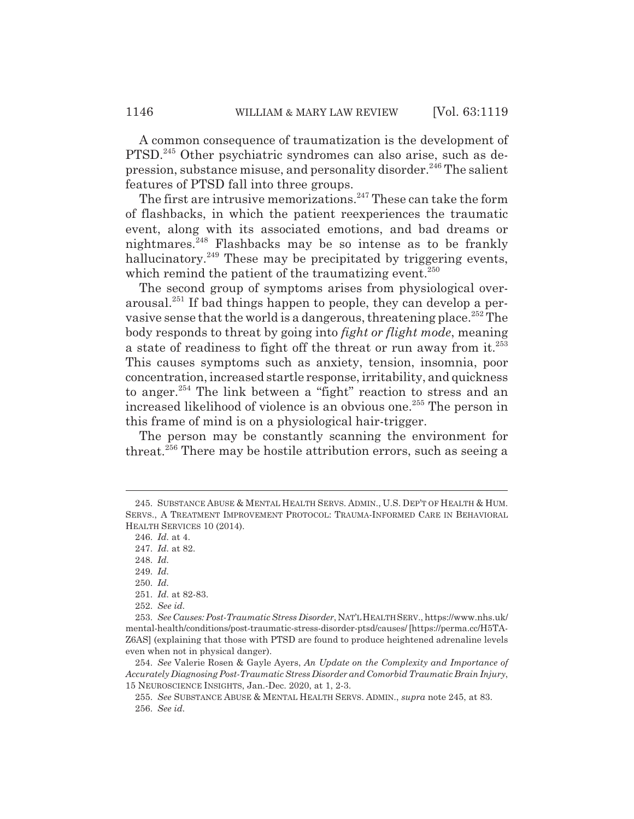A common consequence of traumatization is the development of PTSD.245 Other psychiatric syndromes can also arise, such as depression, substance misuse, and personality disorder.<sup>246</sup> The salient features of PTSD fall into three groups.

The first are intrusive memorizations.<sup>247</sup> These can take the form of flashbacks, in which the patient reexperiences the traumatic event, along with its associated emotions, and bad dreams or nightmares.248 Flashbacks may be so intense as to be frankly hallucinatory.<sup>249</sup> These may be precipitated by triggering events, which remind the patient of the traumatizing event.<sup>250</sup>

The second group of symptoms arises from physiological overarousal.251 If bad things happen to people, they can develop a pervasive sense that the world is a dangerous, threatening place.<sup>252</sup> The body responds to threat by going into *fight or flight mode*, meaning a state of readiness to fight off the threat or run away from it.<sup>253</sup> This causes symptoms such as anxiety, tension, insomnia, poor concentration, increased startle response, irritability, and quickness to anger.<sup>254</sup> The link between a "fight" reaction to stress and an increased likelihood of violence is an obvious one.<sup>255</sup> The person in this frame of mind is on a physiological hair-trigger.

The person may be constantly scanning the environment for threat.256 There may be hostile attribution errors, such as seeing a

<sup>245.</sup> SUBSTANCE ABUSE & MENTAL HEALTH SERVS. ADMIN., U.S. DEP'T OF HEALTH & HUM. SERVS., A TREATMENT IMPROVEMENT PROTOCOL: TRAUMA-INFORMED CARE IN BEHAVIORAL HEALTH SERVICES 10 (2014).

<sup>246.</sup> *Id.* at 4.

<sup>247.</sup> *Id.* at 82.

<sup>248.</sup> *Id.*

<sup>249.</sup> *Id.*

<sup>250.</sup> *Id.*

<sup>251.</sup> *Id.* at 82-83.

<sup>252.</sup> *See id.*

<sup>253.</sup> *See Causes: Post-Traumatic Stress Disorder*, NAT'LHEALTH SERV., https://www.nhs.uk/ mental-health/conditions/post-traumatic-stress-disorder-ptsd/causes/ [https://perma.cc/H5TA-Z6AS] (explaining that those with PTSD are found to produce heightened adrenaline levels even when not in physical danger).

<sup>254.</sup> *See* Valerie Rosen & Gayle Ayers, *An Update on the Complexity and Importance of Accurately Diagnosing Post-Traumatic Stress Disorder and Comorbid Traumatic Brain Injury*, 15 NEUROSCIENCE INSIGHTS, Jan.-Dec. 2020, at 1, 2-3.

<sup>255.</sup> *See* SUBSTANCE ABUSE & MENTAL HEALTH SERVS. ADMIN., *supra* note 245, at 83. 256. *See id.*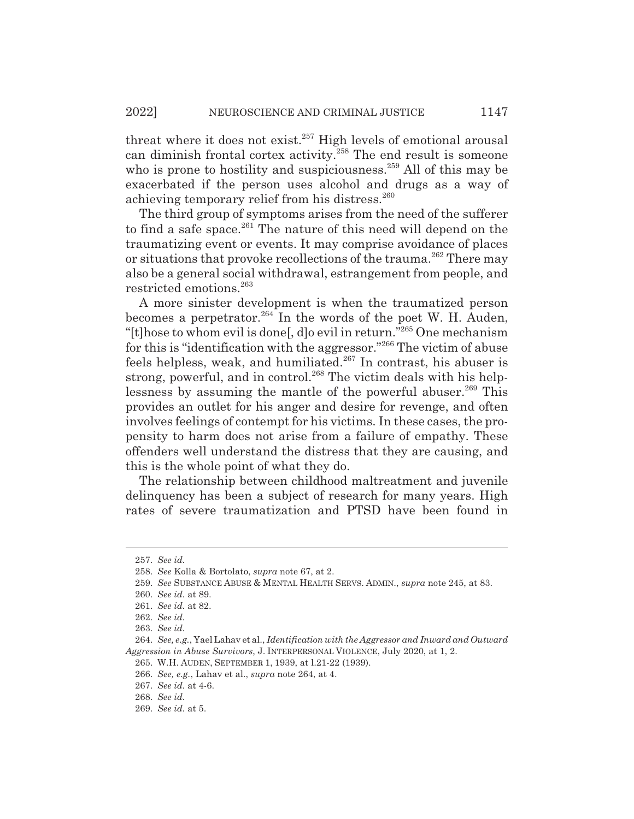threat where it does not exist.<sup>257</sup> High levels of emotional arousal can diminish frontal cortex activity.258 The end result is someone who is prone to hostility and suspiciousness.<sup>259</sup> All of this may be exacerbated if the person uses alcohol and drugs as a way of achieving temporary relief from his distress.<sup>260</sup>

The third group of symptoms arises from the need of the sufferer to find a safe space. $^{261}$  The nature of this need will depend on the traumatizing event or events. It may comprise avoidance of places or situations that provoke recollections of the trauma.<sup>262</sup> There may also be a general social withdrawal, estrangement from people, and restricted emotions.<sup>263</sup>

A more sinister development is when the traumatized person becomes a perpetrator.  $264$  In the words of the poet W. H. Auden, "[t]hose to whom evil is done[, d]o evil in return."265 One mechanism for this is "identification with the aggressor."266 The victim of abuse feels helpless, weak, and humiliated.<sup>267</sup> In contrast, his abuser is strong, powerful, and in control.<sup>268</sup> The victim deals with his helplessness by assuming the mantle of the powerful abuser.<sup>269</sup> This provides an outlet for his anger and desire for revenge, and often involves feelings of contempt for his victims. In these cases, the propensity to harm does not arise from a failure of empathy. These offenders well understand the distress that they are causing, and this is the whole point of what they do.

The relationship between childhood maltreatment and juvenile delinquency has been a subject of research for many years. High rates of severe traumatization and PTSD have been found in

<sup>257.</sup> *See id.*

<sup>258.</sup> *See* Kolla & Bortolato, *supra* note 67, at 2.

<sup>259.</sup> *See* SUBSTANCE ABUSE & MENTAL HEALTH SERVS. ADMIN., *supra* note 245, at 83.

<sup>260.</sup> *See id.* at 89.

<sup>261.</sup> *See id.* at 82.

<sup>262.</sup> *See id.*

<sup>263.</sup> *See id.*

<sup>264.</sup> *See, e.g.*, Yael Lahav et al., *Identification with the Aggressor and Inward and Outward Aggression in Abuse Survivors*, J. INTERPERSONAL VIOLENCE, July 2020, at 1, 2.

<sup>265.</sup> W.H. AUDEN, SEPTEMBER 1, 1939, at l.21-22 (1939).

<sup>266.</sup> *See, e.g.*, Lahav et al., *supra* note 264, at 4.

<sup>267.</sup> *See id.* at 4-6.

<sup>268.</sup> *See id.*

<sup>269.</sup> *See id.* at 5.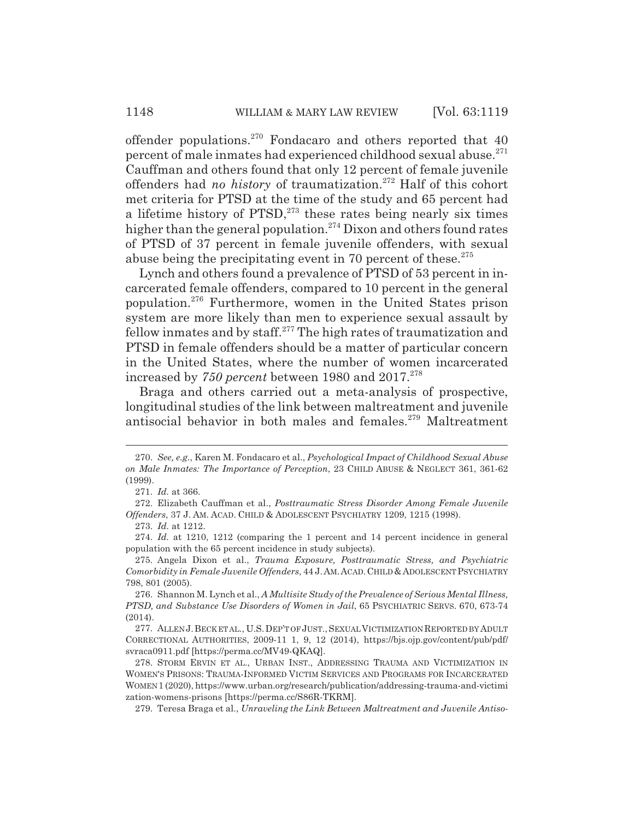offender populations.270 Fondacaro and others reported that 40 percent of male inmates had experienced childhood sexual abuse.<sup>271</sup> Cauffman and others found that only 12 percent of female juvenile offenders had *no history* of traumatization.272 Half of this cohort met criteria for PTSD at the time of the study and 65 percent had a lifetime history of  $PTSD$ ,<sup>273</sup> these rates being nearly six times higher than the general population.<sup>274</sup> Dixon and others found rates of PTSD of 37 percent in female juvenile offenders, with sexual abuse being the precipitating event in 70 percent of these. $275$ 

Lynch and others found a prevalence of PTSD of 53 percent in incarcerated female offenders, compared to 10 percent in the general population.276 Furthermore, women in the United States prison system are more likely than men to experience sexual assault by fellow inmates and by staff.277 The high rates of traumatization and PTSD in female offenders should be a matter of particular concern in the United States, where the number of women incarcerated increased by 750 percent between 1980 and 2017.<sup>278</sup>

Braga and others carried out a meta-analysis of prospective, longitudinal studies of the link between maltreatment and juvenile antisocial behavior in both males and females.<sup>279</sup> Maltreatment

<sup>270.</sup> *See, e.g.*, Karen M. Fondacaro et al., *Psychological Impact of Childhood Sexual Abuse on Male Inmates: The Importance of Perception*, 23 CHILD ABUSE & NEGLECT 361, 361-62 (1999).

<sup>271.</sup> *Id.* at 366.

<sup>272.</sup> Elizabeth Cauffman et al., *Posttraumatic Stress Disorder Among Female Juvenile Offenders*, 37 J. AM. ACAD. CHILD & ADOLESCENT PSYCHIATRY 1209, 1215 (1998).

<sup>273.</sup> *Id.* at 1212.

<sup>274.</sup> *Id.* at 1210, 1212 (comparing the 1 percent and 14 percent incidence in general population with the 65 percent incidence in study subjects).

<sup>275.</sup> Angela Dixon et al., *Trauma Exposure, Posttraumatic Stress, and Psychiatric Comorbidity in Female Juvenile Offenders*, 44 J.AM.ACAD.CHILD&ADOLESCENT PSYCHIATRY 798, 801 (2005).

<sup>276.</sup> Shannon M. Lynch et al., *A Multisite Study of the Prevalence of Serious Mental Illness, PTSD, and Substance Use Disorders of Women in Jail*, 65 PSYCHIATRIC SERVS. 670, 673-74 (2014).

<sup>277.</sup> ALLEN J.BECK ET AL., U.S.DEP'T OF JUST.,SEXUAL VICTIMIZATION REPORTED BY ADULT CORRECTIONAL AUTHORITIES, 2009-11 1, 9, 12 (2014), https://bjs.ojp.gov/content/pub/pdf/ svraca0911.pdf [https://perma.cc/MV49-QKAQ].

<sup>278.</sup> STORM ERVIN ET AL., URBAN INST., ADDRESSING TRAUMA AND VICTIMIZATION IN WOMEN'S PRISONS: TRAUMA-INFORMED VICTIM SERVICES AND PROGRAMS FOR INCARCERATED WOMEN 1 (2020), https://www.urban.org/research/publication/addressing-trauma-and-victimi zation-womens-prisons [https://perma.cc/S86R-TKRM].

<sup>279.</sup> Teresa Braga et al., *Unraveling the Link Between Maltreatment and Juvenile Antiso-*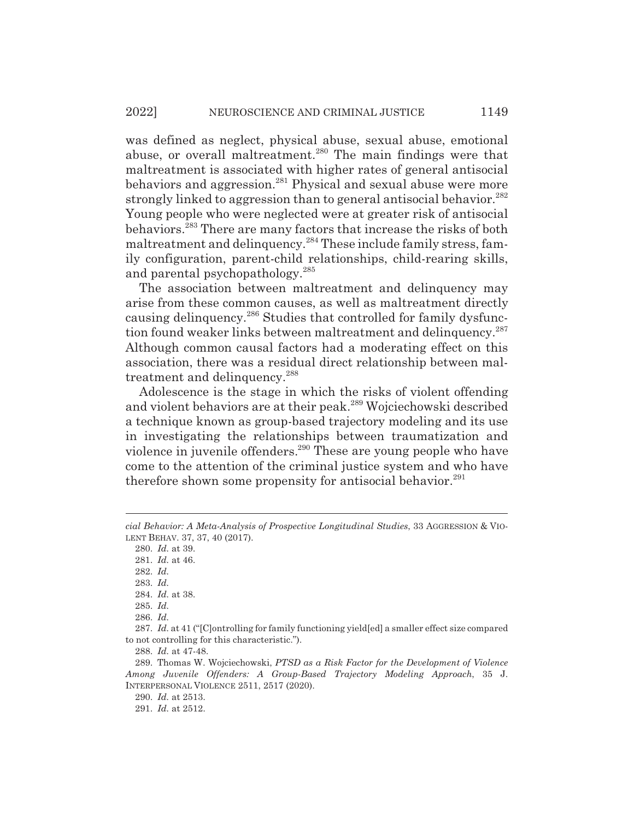was defined as neglect, physical abuse, sexual abuse, emotional abuse, or overall maltreatment.<sup>280</sup> The main findings were that maltreatment is associated with higher rates of general antisocial behaviors and aggression.<sup>281</sup> Physical and sexual abuse were more strongly linked to aggression than to general antisocial behavior.<sup>282</sup> Young people who were neglected were at greater risk of antisocial behaviors.283 There are many factors that increase the risks of both maltreatment and delinquency.284 These include family stress, family configuration, parent-child relationships, child-rearing skills, and parental psychopathology.<sup>285</sup>

The association between maltreatment and delinquency may arise from these common causes, as well as maltreatment directly causing delinquency.<sup>286</sup> Studies that controlled for family dysfunction found weaker links between maltreatment and delinquency.<sup>287</sup> Although common causal factors had a moderating effect on this association, there was a residual direct relationship between maltreatment and delinquency.<sup>288</sup>

Adolescence is the stage in which the risks of violent offending and violent behaviors are at their peak.<sup>289</sup> Wojciechowski described a technique known as group-based trajectory modeling and its use in investigating the relationships between traumatization and violence in juvenile offenders.<sup>290</sup> These are young people who have come to the attention of the criminal justice system and who have therefore shown some propensity for antisocial behavior. $291$ 

280. *Id.* at 39.

281. *Id.* at 46.

282. *Id.*

283. *Id.*

284. *Id.* at 38.

285. *Id.*

286. *Id.*

288. *Id.* at 47-48.

289. Thomas W. Wojciechowski, *PTSD as a Risk Factor for the Development of Violence Among Juvenile Offenders: A Group-Based Trajectory Modeling Approach*, 35 J. INTERPERSONAL VIOLENCE 2511, 2517 (2020).

290. *Id.* at 2513.

291. *Id.* at 2512.

*cial Behavior: A Meta-Analysis of Prospective Longitudinal Studies*, 33 AGGRESSION & VIO-LENT BEHAV. 37, 37, 40 (2017).

<sup>287.</sup> *Id.* at 41 ("[C]ontrolling for family functioning yield[ed] a smaller effect size compared to not controlling for this characteristic.").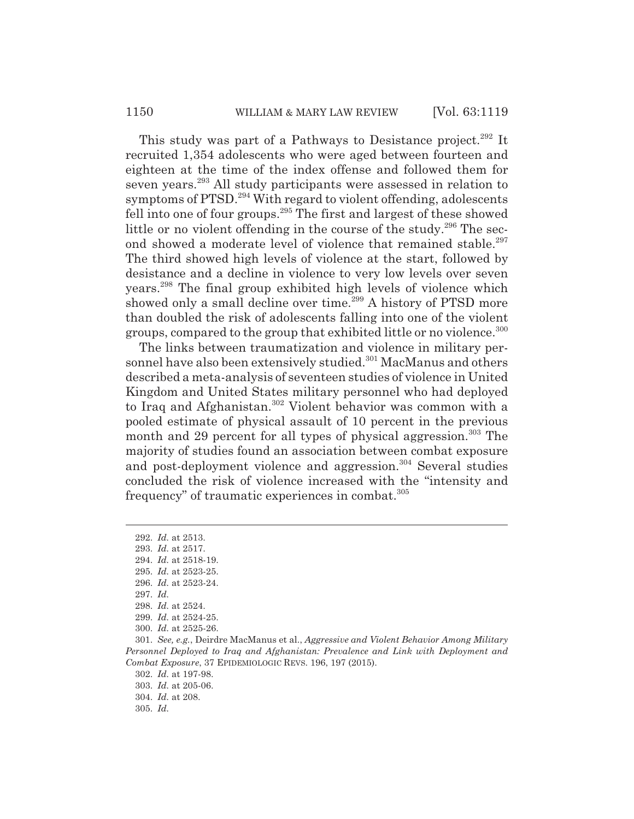This study was part of a Pathways to Desistance project.<sup>292</sup> It recruited 1,354 adolescents who were aged between fourteen and eighteen at the time of the index offense and followed them for seven years.<sup>293</sup> All study participants were assessed in relation to symptoms of PTSD.<sup>294</sup> With regard to violent offending, adolescents fell into one of four groups.295 The first and largest of these showed little or no violent offending in the course of the study. $296$  The second showed a moderate level of violence that remained stable.<sup>297</sup> The third showed high levels of violence at the start, followed by desistance and a decline in violence to very low levels over seven years.298 The final group exhibited high levels of violence which showed only a small decline over time.<sup>299</sup> A history of PTSD more than doubled the risk of adolescents falling into one of the violent groups, compared to the group that exhibited little or no violence.300

The links between traumatization and violence in military personnel have also been extensively studied.<sup>301</sup> MacManus and others described a meta-analysis of seventeen studies of violence in United Kingdom and United States military personnel who had deployed to Iraq and Afghanistan.302 Violent behavior was common with a pooled estimate of physical assault of 10 percent in the previous month and 29 percent for all types of physical aggression.<sup>303</sup> The majority of studies found an association between combat exposure and post-deployment violence and aggression.<sup>304</sup> Several studies concluded the risk of violence increased with the "intensity and frequency" of traumatic experiences in combat.<sup>305</sup>

<sup>292.</sup> *Id.* at 2513.

<sup>293.</sup> *Id.* at 2517.

<sup>294.</sup> *Id.* at 2518-19.

<sup>295.</sup> *Id.* at 2523-25.

<sup>296.</sup> *Id.* at 2523-24.

<sup>297.</sup> *Id.*

<sup>298.</sup> *Id.* at 2524.

<sup>299.</sup> *Id.* at 2524-25.

<sup>300.</sup> *Id.* at 2525-26.

<sup>301.</sup> *See, e.g.*, Deirdre MacManus et al., *Aggressive and Violent Behavior Among Military Personnel Deployed to Iraq and Afghanistan: Prevalence and Link with Deployment and Combat Exposure*, 37 EPIDEMIOLOGIC REVS. 196, 197 (2015).

<sup>302.</sup> *Id.* at 197-98.

<sup>303.</sup> *Id.* at 205-06.

<sup>304.</sup> *Id.* at 208.

<sup>305.</sup> *Id.*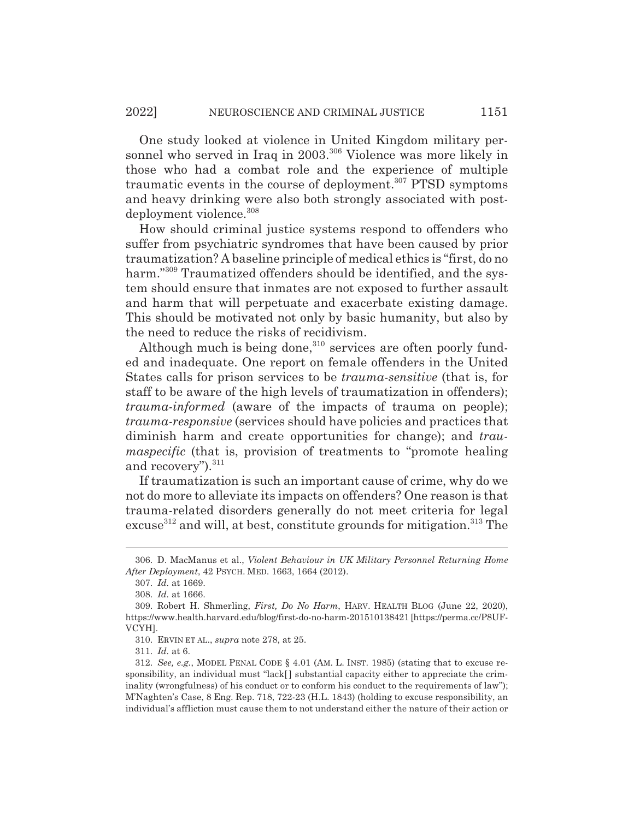One study looked at violence in United Kingdom military personnel who served in Iraq in 2003.<sup>306</sup> Violence was more likely in those who had a combat role and the experience of multiple traumatic events in the course of deployment.<sup>307</sup> PTSD symptoms and heavy drinking were also both strongly associated with postdeployment violence.<sup>308</sup>

How should criminal justice systems respond to offenders who suffer from psychiatric syndromes that have been caused by prior traumatization? A baseline principle of medical ethics is "first, do no harm."309 Traumatized offenders should be identified, and the system should ensure that inmates are not exposed to further assault and harm that will perpetuate and exacerbate existing damage. This should be motivated not only by basic humanity, but also by the need to reduce the risks of recidivism.

Although much is being done, $310$  services are often poorly funded and inadequate. One report on female offenders in the United States calls for prison services to be *trauma-sensitive* (that is, for staff to be aware of the high levels of traumatization in offenders); *trauma-informed* (aware of the impacts of trauma on people); *trauma-responsive* (services should have policies and practices that diminish harm and create opportunities for change); and *traumaspecific* (that is, provision of treatments to "promote healing") and recovery").<sup>311</sup>

If traumatization is such an important cause of crime, why do we not do more to alleviate its impacts on offenders? One reason is that trauma-related disorders generally do not meet criteria for legal excuse<sup>312</sup> and will, at best, constitute grounds for mitigation.<sup>313</sup> The

<sup>306.</sup> D. MacManus et al., *Violent Behaviour in UK Military Personnel Returning Home After Deployment*, 42 PSYCH. MED. 1663, 1664 (2012).

<sup>307.</sup> *Id.* at 1669.

<sup>308.</sup> *Id.* at 1666.

<sup>309.</sup> Robert H. Shmerling, *First, Do No Harm*, HARV. HEALTH BLOG (June 22, 2020), https://www.health.harvard.edu/blog/first-do-no-harm-201510138421 [https://perma.cc/P8UF-VCYH].

<sup>310.</sup> ERVIN ET AL., *supra* note 278, at 25.

<sup>311.</sup> *Id.* at 6.

<sup>312.</sup> *See, e.g.*, MODEL PENAL CODE § 4.01 (AM. L. INST. 1985) (stating that to excuse responsibility, an individual must "lack[ ] substantial capacity either to appreciate the criminality (wrongfulness) of his conduct or to conform his conduct to the requirements of law"); M'Naghten's Case, 8 Eng. Rep. 718, 722-23 (H.L. 1843) (holding to excuse responsibility, an individual's affliction must cause them to not understand either the nature of their action or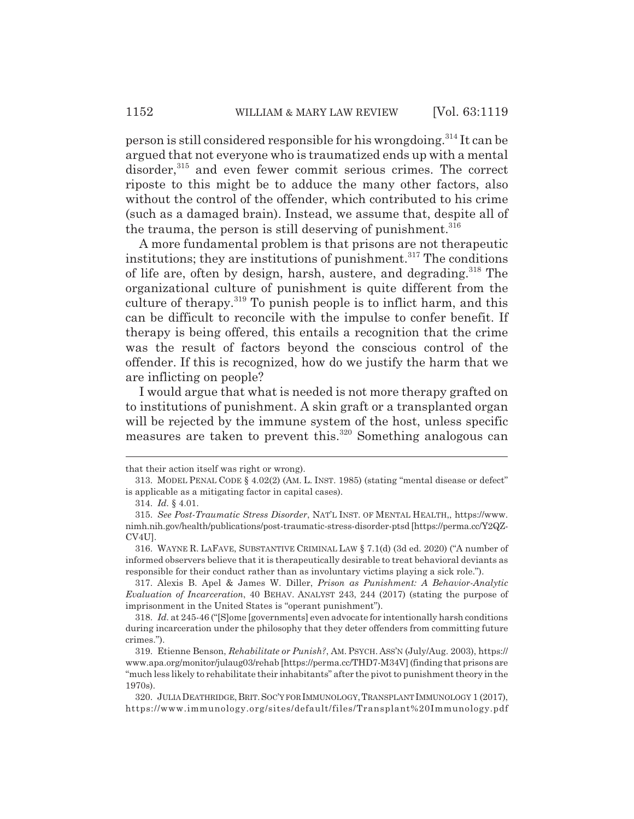person is still considered responsible for his wrongdoing.314 It can be argued that not everyone who is traumatized ends up with a mental disorder,<sup>315</sup> and even fewer commit serious crimes. The correct

riposte to this might be to adduce the many other factors, also without the control of the offender, which contributed to his crime (such as a damaged brain). Instead, we assume that, despite all of the trauma, the person is still deserving of punishment.<sup>316</sup>

A more fundamental problem is that prisons are not therapeutic institutions; they are institutions of punishment. $317$  The conditions of life are, often by design, harsh, austere, and degrading.<sup>318</sup> The organizational culture of punishment is quite different from the culture of therapy.<sup>319</sup> To punish people is to inflict harm, and this can be difficult to reconcile with the impulse to confer benefit. If therapy is being offered, this entails a recognition that the crime was the result of factors beyond the conscious control of the offender. If this is recognized, how do we justify the harm that we are inflicting on people?

I would argue that what is needed is not more therapy grafted on to institutions of punishment. A skin graft or a transplanted organ will be rejected by the immune system of the host, unless specific measures are taken to prevent this.<sup>320</sup> Something analogous can

that their action itself was right or wrong).

<sup>313.</sup> MODEL PENAL CODE § 4.02(2) (AM. L. INST. 1985) (stating "mental disease or defect" is applicable as a mitigating factor in capital cases).

<sup>314.</sup> *Id.* § 4.01.

<sup>315.</sup> *See Post-Traumatic Stress Disorder*, NAT'L INST. OF MENTAL HEALTH,, https://www. nimh.nih.gov/health/publications/post-traumatic-stress-disorder-ptsd [https://perma.cc/Y2QZ-CV4U].

<sup>316.</sup> WAYNE R. LAFAVE, SUBSTANTIVE CRIMINAL LAW § 7.1(d) (3d ed. 2020) ("A number of informed observers believe that it is therapeutically desirable to treat behavioral deviants as responsible for their conduct rather than as involuntary victims playing a sick role.").

<sup>317.</sup> Alexis B. Apel & James W. Diller, *Prison as Punishment: A Behavior-Analytic Evaluation of Incarceration*, 40 BEHAV. ANALYST 243, 244 (2017) (stating the purpose of imprisonment in the United States is "operant punishment").

<sup>318.</sup> *Id.* at 245-46 ("[S]ome [governments] even advocate for intentionally harsh conditions during incarceration under the philosophy that they deter offenders from committing future crimes.").

<sup>319.</sup> Etienne Benson, *Rehabilitate or Punish?*, AM. PSYCH. ASS'N (July/Aug. 2003), https:// www.apa.org/monitor/julaug03/rehab [https://perma.cc/THD7-M34V] (finding that prisons are "much less likely to rehabilitate their inhabitants" after the pivot to punishment theory in the 1970s).

<sup>320.</sup> JULIA DEATHRIDGE,BRIT.SOC'Y FOR IMMUNOLOGY,TRANSPLANT IMMUNOLOGY 1 (2017), https://www.immunology.org/sites/default/files/Transplant%20Immunology.pdf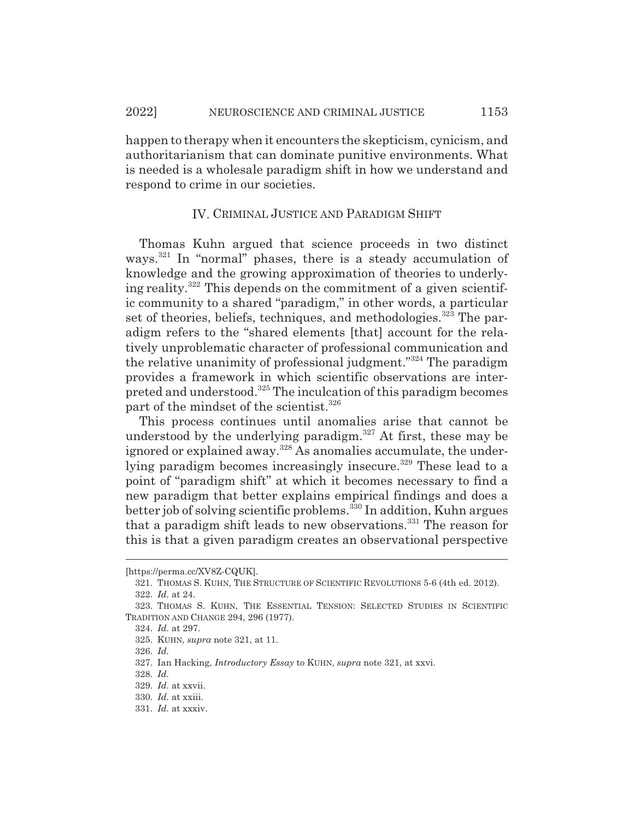happen to therapy when it encounters the skepticism, cynicism, and authoritarianism that can dominate punitive environments. What is needed is a wholesale paradigm shift in how we understand and respond to crime in our societies.

#### IV. CRIMINAL JUSTICE AND PARADIGM SHIFT

Thomas Kuhn argued that science proceeds in two distinct ways.<sup>321</sup> In "normal" phases, there is a steady accumulation of knowledge and the growing approximation of theories to underlying reality.<sup>322</sup> This depends on the commitment of a given scientific community to a shared "paradigm," in other words, a particular set of theories, beliefs, techniques, and methodologies.<sup>323</sup> The paradigm refers to the "shared elements [that] account for the relatively unproblematic character of professional communication and the relative unanimity of professional judgment."324 The paradigm provides a framework in which scientific observations are interpreted and understood.325 The inculcation of this paradigm becomes part of the mindset of the scientist.<sup>326</sup>

This process continues until anomalies arise that cannot be understood by the underlying paradigm.327 At first, these may be ignored or explained away.<sup>328</sup> As anomalies accumulate, the underlying paradigm becomes increasingly insecure.<sup>329</sup> These lead to a point of "paradigm shift" at which it becomes necessary to find a new paradigm that better explains empirical findings and does a better job of solving scientific problems.330 In addition, Kuhn argues that a paradigm shift leads to new observations.<sup>331</sup> The reason for this is that a given paradigm creates an observational perspective

<sup>[</sup>https://perma.cc/XV8Z-CQUK].

<sup>321.</sup> THOMAS S. KUHN, THE STRUCTURE OF SCIENTIFIC REVOLUTIONS 5-6 (4th ed. 2012).

<sup>322.</sup> *Id.* at 24.

<sup>323.</sup> THOMAS S. KUHN, THE ESSENTIAL TENSION: SELECTED STUDIES IN SCIENTIFIC TRADITION AND CHANGE 294, 296 (1977).

<sup>324.</sup> *Id.* at 297.

<sup>325.</sup> KUHN, *supra* note 321, at 11.

<sup>326.</sup> *Id.*

<sup>327.</sup> Ian Hacking, *Introductory Essay* to KUHN, *supra* note 321, at xxvi.

<sup>328.</sup> *Id.*

<sup>329.</sup> *Id.* at xxvii.

<sup>330.</sup> *Id.* at xxiii.

<sup>331.</sup> *Id.* at xxxiv.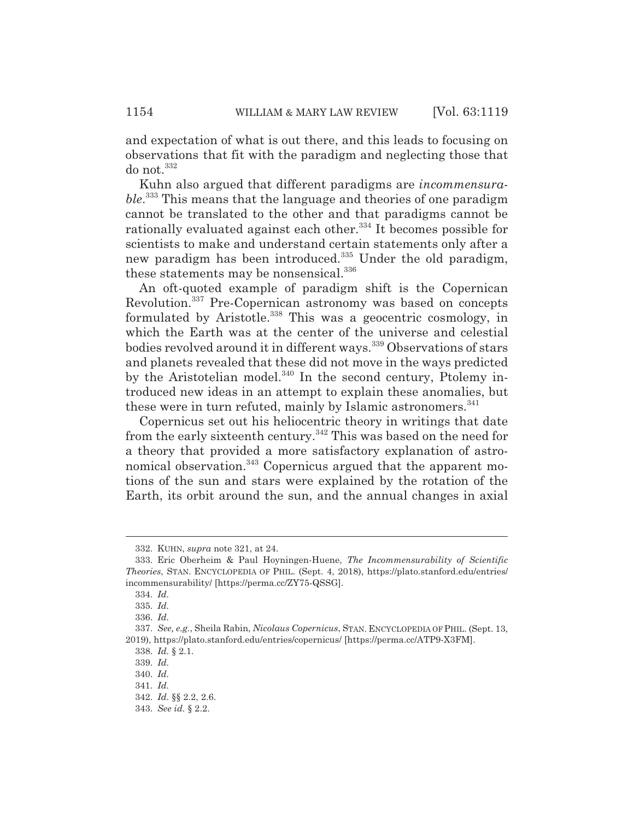and expectation of what is out there, and this leads to focusing on observations that fit with the paradigm and neglecting those that do not.<sup>332</sup>

Kuhn also argued that different paradigms are *incommensurable*. 333 This means that the language and theories of one paradigm cannot be translated to the other and that paradigms cannot be rationally evaluated against each other.<sup>334</sup> It becomes possible for scientists to make and understand certain statements only after a new paradigm has been introduced.<sup>335</sup> Under the old paradigm, these statements may be nonsensical.<sup>336</sup>

An oft-quoted example of paradigm shift is the Copernican Revolution.337 Pre-Copernican astronomy was based on concepts formulated by Aristotle.<sup>338</sup> This was a geocentric cosmology, in which the Earth was at the center of the universe and celestial bodies revolved around it in different ways.<sup>339</sup> Observations of stars and planets revealed that these did not move in the ways predicted by the Aristotelian model. $340$  In the second century, Ptolemy introduced new ideas in an attempt to explain these anomalies, but these were in turn refuted, mainly by Islamic astronomers.<sup>341</sup>

Copernicus set out his heliocentric theory in writings that date from the early sixteenth century.342 This was based on the need for a theory that provided a more satisfactory explanation of astronomical observation.<sup>343</sup> Copernicus argued that the apparent motions of the sun and stars were explained by the rotation of the Earth, its orbit around the sun, and the annual changes in axial

<sup>332.</sup> KUHN, *supra* note 321, at 24.

<sup>333.</sup> Eric Oberheim & Paul Hoyningen-Huene, *The Incommensurability of Scientific Theories*, STAN. ENCYCLOPEDIA OF PHIL. (Sept. 4, 2018), https://plato.stanford.edu/entries/ incommensurability/ [https://perma.cc/ZY75-QSSG].

<sup>334.</sup> *Id.*

<sup>335.</sup> *Id.*

<sup>336.</sup> *Id.*

<sup>337.</sup> *See, e.g.*, Sheila Rabin, *Nicolaus Copernicus*, STAN. ENCYCLOPEDIA OF PHIL. (Sept. 13, 2019), https://plato.stanford.edu/entries/copernicus/ [https://perma.cc/ATP9-X3FM].

<sup>338.</sup> *Id.* § 2.1.

<sup>339.</sup> *Id.*

<sup>340.</sup> *Id.*

<sup>341.</sup> *Id.*

<sup>342.</sup> *Id.* §§ 2.2, 2.6.

<sup>343.</sup> *See id.* § 2.2.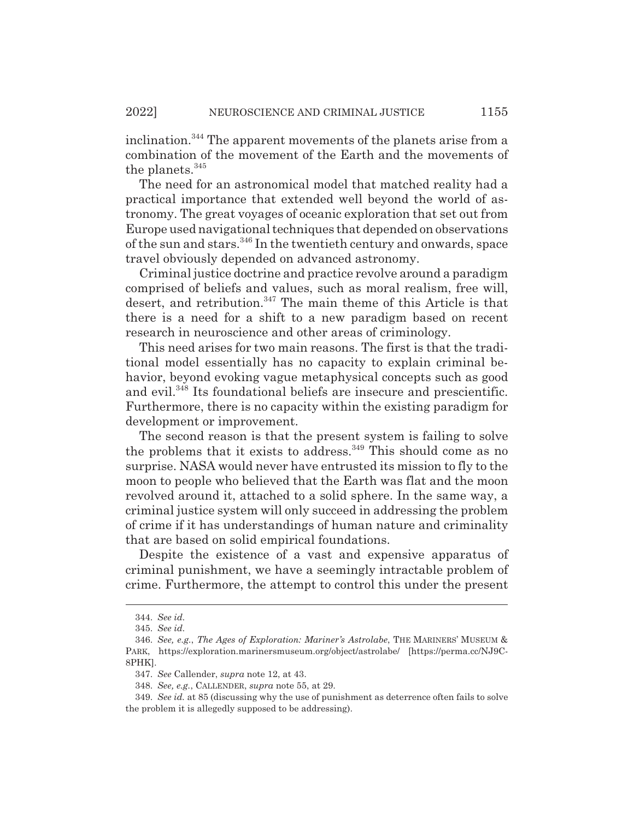inclination.344 The apparent movements of the planets arise from a combination of the movement of the Earth and the movements of the planets.<sup>345</sup>

The need for an astronomical model that matched reality had a practical importance that extended well beyond the world of astronomy. The great voyages of oceanic exploration that set out from Europe used navigational techniques that depended on observations of the sun and stars.<sup>346</sup> In the twentieth century and onwards, space travel obviously depended on advanced astronomy.

Criminal justice doctrine and practice revolve around a paradigm comprised of beliefs and values, such as moral realism, free will, desert, and retribution.<sup>347</sup> The main theme of this Article is that there is a need for a shift to a new paradigm based on recent research in neuroscience and other areas of criminology.

This need arises for two main reasons. The first is that the traditional model essentially has no capacity to explain criminal behavior, beyond evoking vague metaphysical concepts such as good and evil.<sup>348</sup> Its foundational beliefs are insecure and prescientific. Furthermore, there is no capacity within the existing paradigm for development or improvement.

The second reason is that the present system is failing to solve the problems that it exists to address.<sup>349</sup> This should come as no surprise. NASA would never have entrusted its mission to fly to the moon to people who believed that the Earth was flat and the moon revolved around it, attached to a solid sphere. In the same way, a criminal justice system will only succeed in addressing the problem of crime if it has understandings of human nature and criminality that are based on solid empirical foundations.

Despite the existence of a vast and expensive apparatus of criminal punishment, we have a seemingly intractable problem of crime. Furthermore, the attempt to control this under the present

<sup>344.</sup> *See id.*

<sup>345.</sup> *See id.*

<sup>346.</sup> *See, e.g.*, *The Ages of Exploration: Mariner's Astrolabe*, THE MARINERS' MUSEUM & PARK, https://exploration.marinersmuseum.org/object/astrolabe/ [https://perma.cc/NJ9C-8PHK].

<sup>347.</sup> *See* Callender, *supra* note 12, at 43.

<sup>348.</sup> *See, e.g.*, CALLENDER, *supra* note 55, at 29.

<sup>349.</sup> *See id.* at 85 (discussing why the use of punishment as deterrence often fails to solve the problem it is allegedly supposed to be addressing).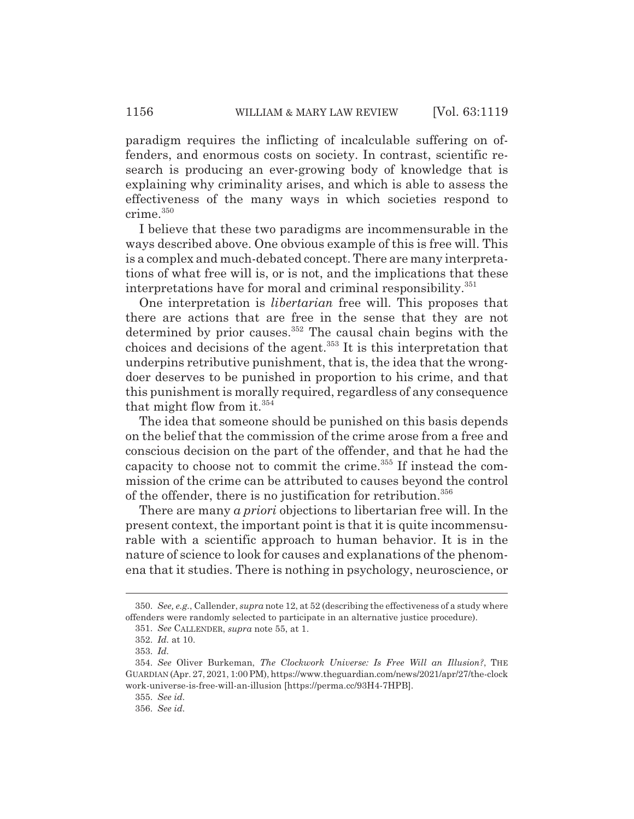paradigm requires the inflicting of incalculable suffering on offenders, and enormous costs on society. In contrast, scientific research is producing an ever-growing body of knowledge that is explaining why criminality arises, and which is able to assess the effectiveness of the many ways in which societies respond to crime.<sup>350</sup>

I believe that these two paradigms are incommensurable in the ways described above. One obvious example of this is free will. This is a complex and much-debated concept. There are many interpretations of what free will is, or is not, and the implications that these interpretations have for moral and criminal responsibility.<sup>351</sup>

One interpretation is *libertarian* free will. This proposes that there are actions that are free in the sense that they are not determined by prior causes.<sup>352</sup> The causal chain begins with the choices and decisions of the agent.353 It is this interpretation that underpins retributive punishment, that is, the idea that the wrongdoer deserves to be punished in proportion to his crime, and that this punishment is morally required, regardless of any consequence that might flow from it. $354$ 

The idea that someone should be punished on this basis depends on the belief that the commission of the crime arose from a free and conscious decision on the part of the offender, and that he had the capacity to choose not to commit the crime. $355$  If instead the commission of the crime can be attributed to causes beyond the control of the offender, there is no justification for retribution.<sup>356</sup>

There are many *a priori* objections to libertarian free will. In the present context, the important point is that it is quite incommensurable with a scientific approach to human behavior. It is in the nature of science to look for causes and explanations of the phenomena that it studies. There is nothing in psychology, neuroscience, or

<sup>350.</sup> *See, e.g.*, Callender, *supra* note 12, at 52 (describing the effectiveness of a study where offenders were randomly selected to participate in an alternative justice procedure).

<sup>351.</sup> *See* CALLENDER, *supra* note 55, at 1.

<sup>352.</sup> *Id.* at 10.

<sup>353.</sup> *Id.*

<sup>354.</sup> *See* Oliver Burkeman, *The Clockwork Universe: Is Free Will an Illusion?*, THE GUARDIAN (Apr. 27, 2021, 1:00 PM), https://www.theguardian.com/news/2021/apr/27/the-clock work-universe-is-free-will-an-illusion [https://perma.cc/93H4-7HPB].

<sup>355.</sup> *See id.*

<sup>356.</sup> *See id.*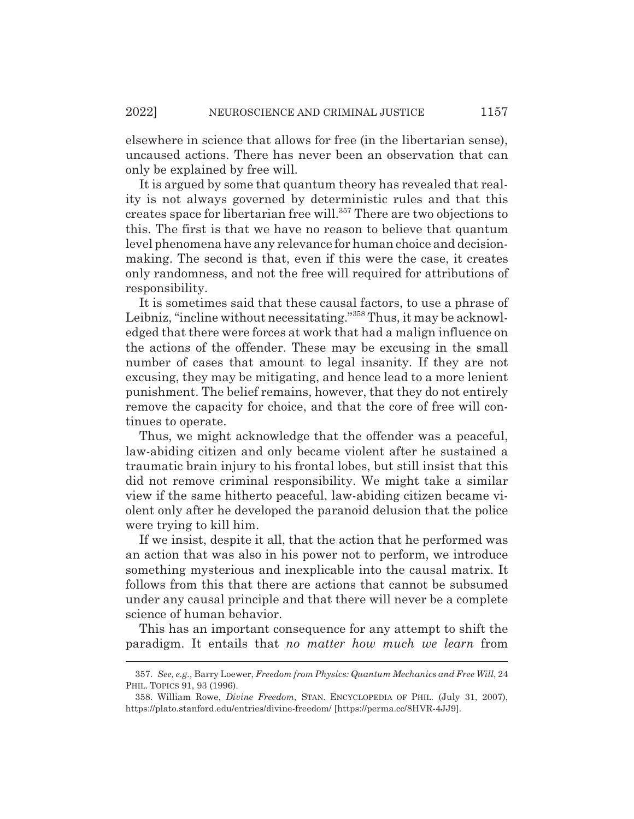elsewhere in science that allows for free (in the libertarian sense), uncaused actions. There has never been an observation that can only be explained by free will.

It is argued by some that quantum theory has revealed that reality is not always governed by deterministic rules and that this creates space for libertarian free will.<sup>357</sup> There are two objections to this. The first is that we have no reason to believe that quantum level phenomena have any relevance for human choice and decisionmaking. The second is that, even if this were the case, it creates only randomness, and not the free will required for attributions of responsibility.

It is sometimes said that these causal factors, to use a phrase of Leibniz, "incline without necessitating."<sup>358</sup> Thus, it may be acknowledged that there were forces at work that had a malign influence on the actions of the offender. These may be excusing in the small number of cases that amount to legal insanity. If they are not excusing, they may be mitigating, and hence lead to a more lenient punishment. The belief remains, however, that they do not entirely remove the capacity for choice, and that the core of free will continues to operate.

Thus, we might acknowledge that the offender was a peaceful, law-abiding citizen and only became violent after he sustained a traumatic brain injury to his frontal lobes, but still insist that this did not remove criminal responsibility. We might take a similar view if the same hitherto peaceful, law-abiding citizen became violent only after he developed the paranoid delusion that the police were trying to kill him.

If we insist, despite it all, that the action that he performed was an action that was also in his power not to perform, we introduce something mysterious and inexplicable into the causal matrix. It follows from this that there are actions that cannot be subsumed under any causal principle and that there will never be a complete science of human behavior.

This has an important consequence for any attempt to shift the paradigm. It entails that *no matter how much we learn* from

<sup>357.</sup> *See, e.g.*, Barry Loewer, *Freedom from Physics: Quantum Mechanics and Free Will*, 24 PHIL. TOPICS 91, 93 (1996).

<sup>358.</sup> William Rowe, *Divine Freedom*, STAN. ENCYCLOPEDIA OF PHIL. (July 31, 2007), https://plato.stanford.edu/entries/divine-freedom/ [https://perma.cc/8HVR-4JJ9].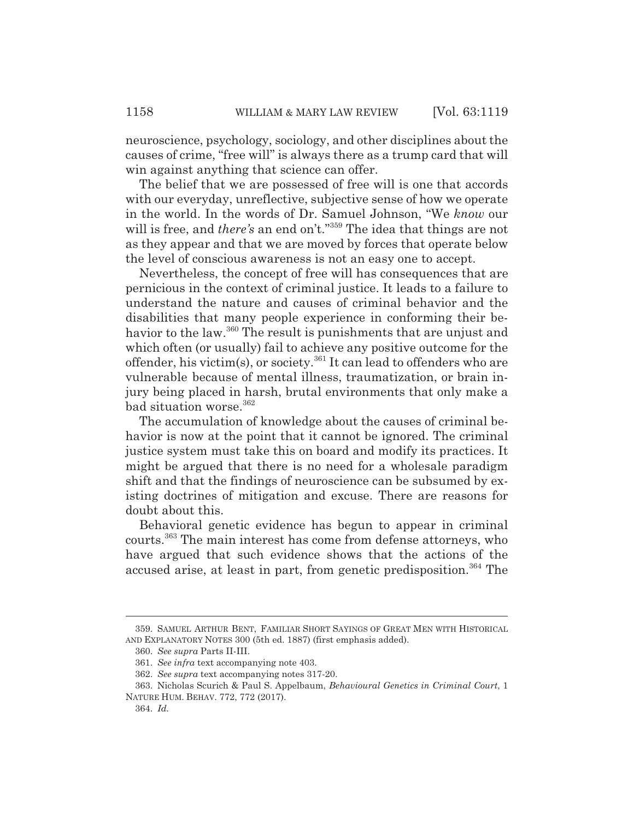neuroscience, psychology, sociology, and other disciplines about the causes of crime, "free will" is always there as a trump card that will win against anything that science can offer.

The belief that we are possessed of free will is one that accords with our everyday, unreflective, subjective sense of how we operate in the world. In the words of Dr. Samuel Johnson, "We *know* our will is free, and *there's* an end on't."<sup>359</sup> The idea that things are not as they appear and that we are moved by forces that operate below the level of conscious awareness is not an easy one to accept.

Nevertheless, the concept of free will has consequences that are pernicious in the context of criminal justice. It leads to a failure to understand the nature and causes of criminal behavior and the disabilities that many people experience in conforming their behavior to the law.<sup>360</sup> The result is punishments that are unjust and which often (or usually) fail to achieve any positive outcome for the offender, his victim(s), or society.<sup>361</sup> It can lead to offenders who are vulnerable because of mental illness, traumatization, or brain injury being placed in harsh, brutal environments that only make a bad situation worse.<sup>362</sup>

The accumulation of knowledge about the causes of criminal behavior is now at the point that it cannot be ignored. The criminal justice system must take this on board and modify its practices. It might be argued that there is no need for a wholesale paradigm shift and that the findings of neuroscience can be subsumed by existing doctrines of mitigation and excuse. There are reasons for doubt about this.

Behavioral genetic evidence has begun to appear in criminal courts.363 The main interest has come from defense attorneys, who have argued that such evidence shows that the actions of the accused arise, at least in part, from genetic predisposition.<sup>364</sup> The

<sup>359.</sup> SAMUEL ARTHUR BENT, FAMILIAR SHORT SAYINGS OF GREAT MEN WITH HISTORICAL AND EXPLANATORY NOTES 300 (5th ed. 1887) (first emphasis added).

<sup>360.</sup> *See supra* Parts II-III.

<sup>361.</sup> *See infra* text accompanying note 403.

<sup>362.</sup> *See supra* text accompanying notes 317-20.

<sup>363.</sup> Nicholas Scurich & Paul S. Appelbaum, *Behavioural Genetics in Criminal Court*, 1 NATURE HUM. BEHAV. 772, 772 (2017).

<sup>364.</sup> *Id.*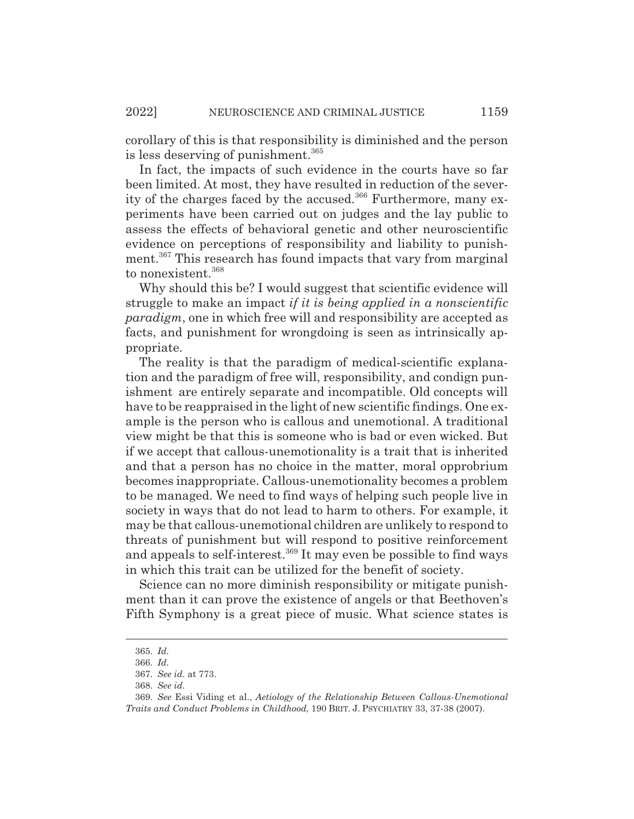corollary of this is that responsibility is diminished and the person is less deserving of punishment.<sup>365</sup>

In fact, the impacts of such evidence in the courts have so far been limited. At most, they have resulted in reduction of the severity of the charges faced by the accused.<sup>366</sup> Furthermore, many experiments have been carried out on judges and the lay public to assess the effects of behavioral genetic and other neuroscientific evidence on perceptions of responsibility and liability to punishment.367 This research has found impacts that vary from marginal to nonexistent.<sup>368</sup>

Why should this be? I would suggest that scientific evidence will struggle to make an impact *if it is being applied in a nonscientific paradigm*, one in which free will and responsibility are accepted as facts, and punishment for wrongdoing is seen as intrinsically appropriate.

The reality is that the paradigm of medical-scientific explanation and the paradigm of free will, responsibility, and condign punishment are entirely separate and incompatible. Old concepts will have to be reappraised in the light of new scientific findings. One example is the person who is callous and unemotional. A traditional view might be that this is someone who is bad or even wicked. But if we accept that callous-unemotionality is a trait that is inherited and that a person has no choice in the matter, moral opprobrium becomes inappropriate. Callous-unemotionality becomes a problem to be managed. We need to find ways of helping such people live in society in ways that do not lead to harm to others. For example, it may be that callous-unemotional children are unlikely to respond to threats of punishment but will respond to positive reinforcement and appeals to self-interest.<sup>369</sup> It may even be possible to find ways in which this trait can be utilized for the benefit of society.

Science can no more diminish responsibility or mitigate punishment than it can prove the existence of angels or that Beethoven's Fifth Symphony is a great piece of music. What science states is

<sup>365.</sup> *Id.*

<sup>366.</sup> *Id.*

<sup>367.</sup> *See id.* at 773.

<sup>368.</sup> *See id.*

<sup>369.</sup> *See* Essi Viding et al., *Aetiology of the Relationship Between Callous-Unemotional Traits and Conduct Problems in Childhood*, 190 BRIT. J. PSYCHIATRY 33, 37-38 (2007).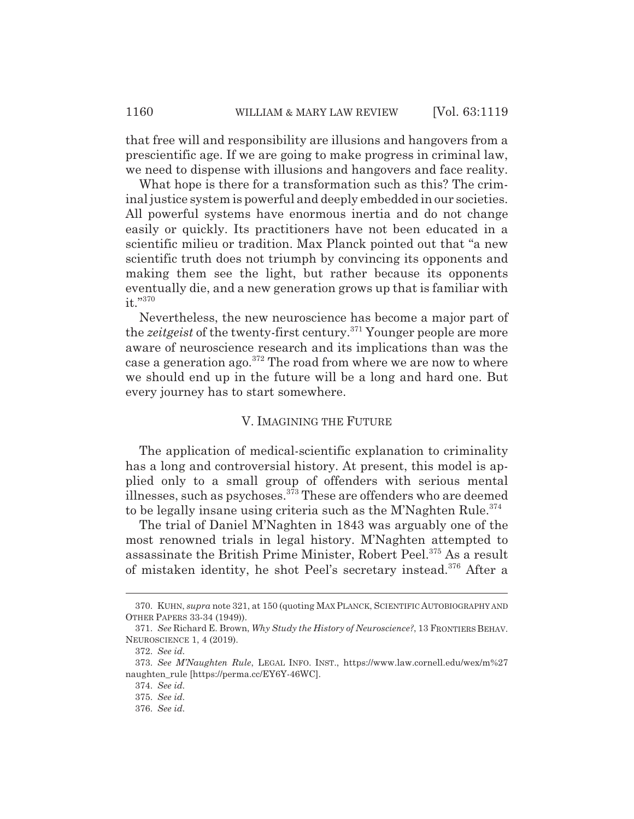that free will and responsibility are illusions and hangovers from a prescientific age. If we are going to make progress in criminal law, we need to dispense with illusions and hangovers and face reality.

What hope is there for a transformation such as this? The criminal justice system is powerful and deeply embedded in our societies. All powerful systems have enormous inertia and do not change easily or quickly. Its practitioners have not been educated in a scientific milieu or tradition. Max Planck pointed out that "a new scientific truth does not triumph by convincing its opponents and making them see the light, but rather because its opponents eventually die, and a new generation grows up that is familiar with it."370

Nevertheless, the new neuroscience has become a major part of the *zeitgeist* of the twenty-first century.371 Younger people are more aware of neuroscience research and its implications than was the case a generation ago.<sup>372</sup> The road from where we are now to where we should end up in the future will be a long and hard one. But every journey has to start somewhere.

#### V. IMAGINING THE FUTURE

The application of medical-scientific explanation to criminality has a long and controversial history. At present, this model is applied only to a small group of offenders with serious mental illnesses, such as psychoses.373 These are offenders who are deemed to be legally insane using criteria such as the M'Naghten Rule. $374$ 

The trial of Daniel M'Naghten in 1843 was arguably one of the most renowned trials in legal history. M'Naghten attempted to assassinate the British Prime Minister, Robert Peel.375 As a result of mistaken identity, he shot Peel's secretary instead.<sup>376</sup> After a

<sup>370.</sup> KUHN, *supra* note 321, at 150 (quoting MAX PLANCK, SCIENTIFIC AUTOBIOGRAPHY AND OTHER PAPERS 33-34 (1949)).

<sup>371.</sup> *See* Richard E. Brown, *Why Study the History of Neuroscience?*, 13 FRONTIERS BEHAV. NEUROSCIENCE 1, 4 (2019).

<sup>372.</sup> *See id.*

<sup>373.</sup> *See M'Naughten Rule*, LEGAL INFO. INST., https://www.law.cornell.edu/wex/m%27 naughten\_rule [https://perma.cc/EY6Y-46WC].

<sup>374.</sup> *See id.*

<sup>375.</sup> *See id.*

<sup>376.</sup> *See id.*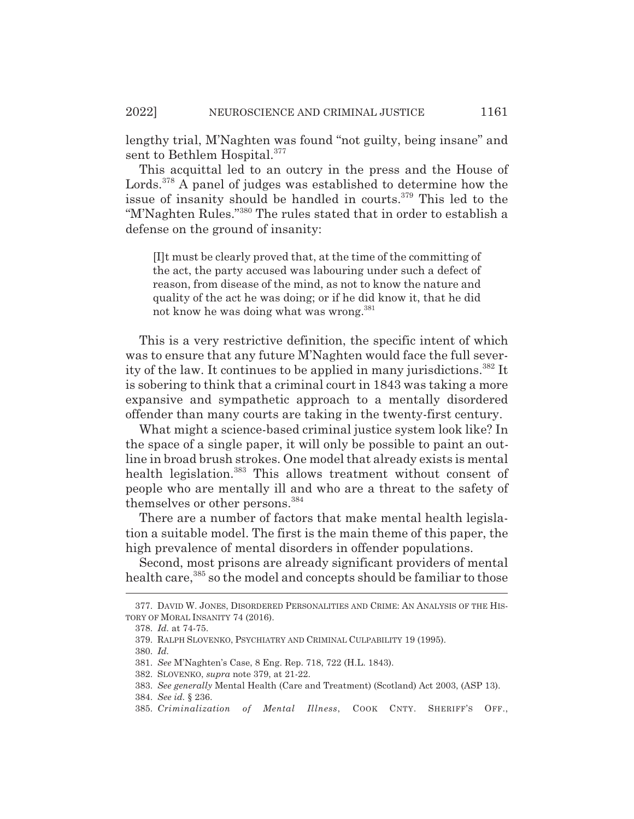lengthy trial, M'Naghten was found "not guilty, being insane" and sent to Bethlem Hospital.<sup>377</sup>

This acquittal led to an outcry in the press and the House of Lords.<sup>378</sup> A panel of judges was established to determine how the issue of insanity should be handled in courts.<sup>379</sup> This led to the "M'Naghten Rules."380 The rules stated that in order to establish a defense on the ground of insanity:

[I]t must be clearly proved that, at the time of the committing of the act, the party accused was labouring under such a defect of reason, from disease of the mind, as not to know the nature and quality of the act he was doing; or if he did know it, that he did not know he was doing what was wrong.<sup>381</sup>

This is a very restrictive definition, the specific intent of which was to ensure that any future M'Naghten would face the full severity of the law. It continues to be applied in many jurisdictions.<sup>382</sup> It is sobering to think that a criminal court in 1843 was taking a more expansive and sympathetic approach to a mentally disordered offender than many courts are taking in the twenty-first century.

What might a science-based criminal justice system look like? In the space of a single paper, it will only be possible to paint an outline in broad brush strokes. One model that already exists is mental health legislation.<sup>383</sup> This allows treatment without consent of people who are mentally ill and who are a threat to the safety of themselves or other persons.<sup>384</sup>

There are a number of factors that make mental health legislation a suitable model. The first is the main theme of this paper, the high prevalence of mental disorders in offender populations.

Second, most prisons are already significant providers of mental health care,<sup>385</sup> so the model and concepts should be familiar to those

<sup>377.</sup> DAVID W. JONES, DISORDERED PERSONALITIES AND CRIME: AN ANALYSIS OF THE HIS-TORY OF MORAL INSANITY 74 (2016).

<sup>378.</sup> *Id.* at 74-75.

<sup>379.</sup> RALPH SLOVENKO, PSYCHIATRY AND CRIMINAL CULPABILITY 19 (1995).

<sup>380.</sup> *Id.*

<sup>381.</sup> *See* M'Naghten's Case, 8 Eng. Rep. 718, 722 (H.L. 1843).

<sup>382.</sup> SLOVENKO, *supra* note 379, at 21-22.

<sup>383.</sup> *See generally* Mental Health (Care and Treatment) (Scotland) Act 2003, (ASP 13).

<sup>384.</sup> *See id.* § 236.

<sup>385.</sup> *Criminalization of Mental Illness*, COOK CNTY. SHERIFF'S OFF.,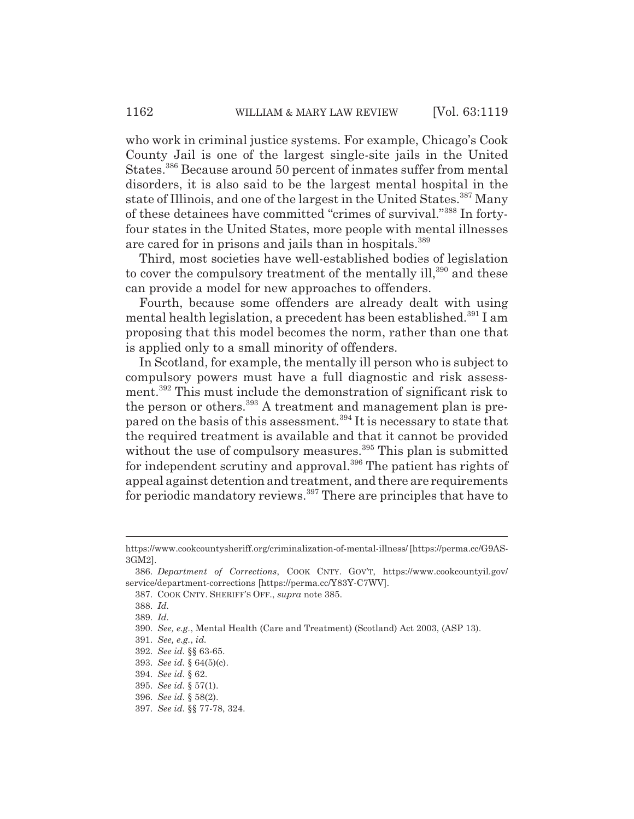who work in criminal justice systems. For example, Chicago's Cook County Jail is one of the largest single-site jails in the United States.386 Because around 50 percent of inmates suffer from mental disorders, it is also said to be the largest mental hospital in the state of Illinois, and one of the largest in the United States.<sup>387</sup> Many of these detainees have committed "crimes of survival."388 In fortyfour states in the United States, more people with mental illnesses are cared for in prisons and jails than in hospitals.<sup>389</sup>

Third, most societies have well-established bodies of legislation to cover the compulsory treatment of the mentally ill,<sup>390</sup> and these can provide a model for new approaches to offenders.

Fourth, because some offenders are already dealt with using mental health legislation, a precedent has been established.<sup>391</sup> I am proposing that this model becomes the norm, rather than one that is applied only to a small minority of offenders.

In Scotland, for example, the mentally ill person who is subject to compulsory powers must have a full diagnostic and risk assessment.<sup>392</sup> This must include the demonstration of significant risk to the person or others.<sup>393</sup> A treatment and management plan is prepared on the basis of this assessment.394 It is necessary to state that the required treatment is available and that it cannot be provided without the use of compulsory measures.<sup>395</sup> This plan is submitted for independent scrutiny and approval.<sup>396</sup> The patient has rights of appeal against detention and treatment, and there are requirements for periodic mandatory reviews.<sup>397</sup> There are principles that have to

https://www.cookcountysheriff.org/criminalization-of-mental-illness/ [https://perma.cc/G9AS-3GM2].

<sup>386.</sup> *Department of Corrections*, COOK CNTY. GOV'T, https://www.cookcountyil.gov/ service/department-corrections [https://perma.cc/Y83Y-C7WV].

<sup>387.</sup> COOK CNTY. SHERIFF'S OFF., *supra* note 385.

<sup>388.</sup> *Id.*

<sup>389.</sup> *Id.*

<sup>390.</sup> *See, e.g.*, Mental Health (Care and Treatment) (Scotland) Act 2003, (ASP 13).

<sup>391.</sup> *See, e.g.*, *id.*

<sup>392.</sup> *See id.* §§ 63-65.

<sup>393.</sup> *See id.* § 64(5)(c).

<sup>394.</sup> *See id.* § 62.

<sup>395.</sup> *See id.* § 57(1).

<sup>396.</sup> *See id.* § 58(2).

<sup>397.</sup> *See id.* §§ 77-78, 324.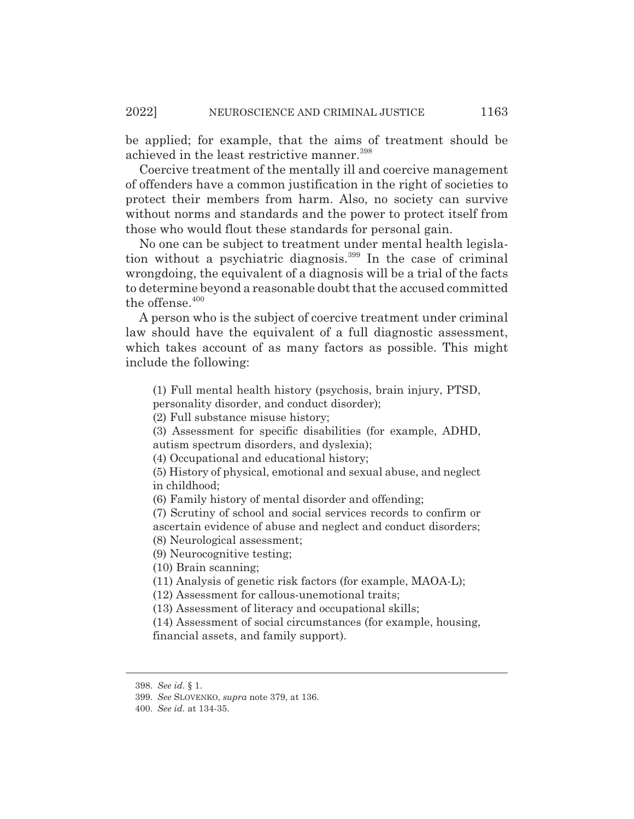be applied; for example, that the aims of treatment should be achieved in the least restrictive manner.<sup>398</sup>

Coercive treatment of the mentally ill and coercive management of offenders have a common justification in the right of societies to protect their members from harm. Also, no society can survive without norms and standards and the power to protect itself from those who would flout these standards for personal gain.

No one can be subject to treatment under mental health legislation without a psychiatric diagnosis.399 In the case of criminal wrongdoing, the equivalent of a diagnosis will be a trial of the facts to determine beyond a reasonable doubt that the accused committed the offense.<sup>400</sup>

A person who is the subject of coercive treatment under criminal law should have the equivalent of a full diagnostic assessment, which takes account of as many factors as possible. This might include the following:

(1) Full mental health history (psychosis, brain injury, PTSD,

personality disorder, and conduct disorder);

(2) Full substance misuse history;

(3) Assessment for specific disabilities (for example, ADHD, autism spectrum disorders, and dyslexia);

(4) Occupational and educational history;

(5) History of physical, emotional and sexual abuse, and neglect in childhood;

(6) Family history of mental disorder and offending;

(7) Scrutiny of school and social services records to confirm or ascertain evidence of abuse and neglect and conduct disorders; (8) Neurological assessment;

(9) Neurocognitive testing;

(10) Brain scanning;

(11) Analysis of genetic risk factors (for example, MAOA-L);

(12) Assessment for callous-unemotional traits;

(13) Assessment of literacy and occupational skills;

(14) Assessment of social circumstances (for example, housing, financial assets, and family support).

<sup>398.</sup> *See id.* § 1.

<sup>399.</sup> *See* SLOVENKO, *supra* note 379, at 136.

<sup>400.</sup> *See id.* at 134-35.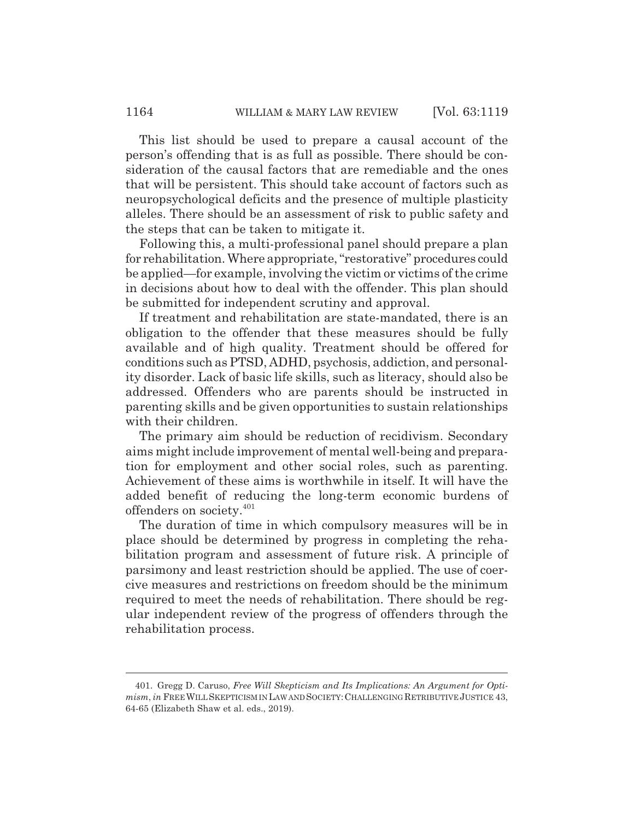This list should be used to prepare a causal account of the person's offending that is as full as possible. There should be consideration of the causal factors that are remediable and the ones that will be persistent. This should take account of factors such as neuropsychological deficits and the presence of multiple plasticity alleles. There should be an assessment of risk to public safety and the steps that can be taken to mitigate it.

Following this, a multi-professional panel should prepare a plan for rehabilitation. Where appropriate, "restorative" procedures could be applied—for example, involving the victim or victims of the crime in decisions about how to deal with the offender. This plan should be submitted for independent scrutiny and approval.

If treatment and rehabilitation are state-mandated, there is an obligation to the offender that these measures should be fully available and of high quality. Treatment should be offered for conditions such as PTSD, ADHD, psychosis, addiction, and personality disorder. Lack of basic life skills, such as literacy, should also be addressed. Offenders who are parents should be instructed in parenting skills and be given opportunities to sustain relationships with their children.

The primary aim should be reduction of recidivism. Secondary aims might include improvement of mental well-being and preparation for employment and other social roles, such as parenting. Achievement of these aims is worthwhile in itself. It will have the added benefit of reducing the long-term economic burdens of offenders on society.<sup>401</sup>

The duration of time in which compulsory measures will be in place should be determined by progress in completing the rehabilitation program and assessment of future risk. A principle of parsimony and least restriction should be applied. The use of coercive measures and restrictions on freedom should be the minimum required to meet the needs of rehabilitation. There should be regular independent review of the progress of offenders through the rehabilitation process.

<sup>401.</sup> Gregg D. Caruso, *Free Will Skepticism and Its Implications: An Argument for Optimism*, *in* FREEWILLSKEPTICISM IN LAW AND SOCIETY:CHALLENGING RETRIBUTIVE JUSTICE 43, 64-65 (Elizabeth Shaw et al. eds., 2019).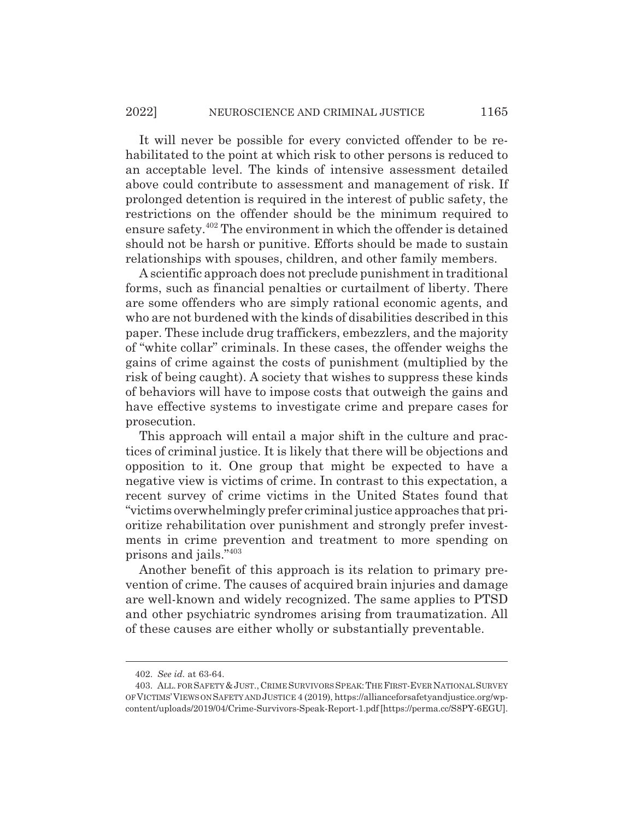It will never be possible for every convicted offender to be rehabilitated to the point at which risk to other persons is reduced to an acceptable level. The kinds of intensive assessment detailed above could contribute to assessment and management of risk. If prolonged detention is required in the interest of public safety, the restrictions on the offender should be the minimum required to ensure safety.402 The environment in which the offender is detained should not be harsh or punitive. Efforts should be made to sustain relationships with spouses, children, and other family members.

A scientific approach does not preclude punishment in traditional forms, such as financial penalties or curtailment of liberty. There are some offenders who are simply rational economic agents, and who are not burdened with the kinds of disabilities described in this paper. These include drug traffickers, embezzlers, and the majority of "white collar" criminals. In these cases, the offender weighs the gains of crime against the costs of punishment (multiplied by the risk of being caught). A society that wishes to suppress these kinds of behaviors will have to impose costs that outweigh the gains and have effective systems to investigate crime and prepare cases for prosecution.

This approach will entail a major shift in the culture and practices of criminal justice. It is likely that there will be objections and opposition to it. One group that might be expected to have a negative view is victims of crime. In contrast to this expectation, a recent survey of crime victims in the United States found that "victims overwhelmingly prefer criminal justice approaches that prioritize rehabilitation over punishment and strongly prefer investments in crime prevention and treatment to more spending on prisons and jails."403

Another benefit of this approach is its relation to primary prevention of crime. The causes of acquired brain injuries and damage are well-known and widely recognized. The same applies to PTSD and other psychiatric syndromes arising from traumatization. All of these causes are either wholly or substantially preventable.

<sup>402.</sup> *See id.* at 63-64.

<sup>403.</sup> ALL. FOR SAFETY&JUST.,CRIME SURVIVORS SPEAK:THE FIRST-EVERNATIONAL SURVEY OF VICTIMS'VIEWS ON SAFETY AND JUSTICE 4 (2019), https://allianceforsafetyandjustice.org/wpcontent/uploads/2019/04/Crime-Survivors-Speak-Report-1.pdf [https://perma.cc/S8PY-6EGU].